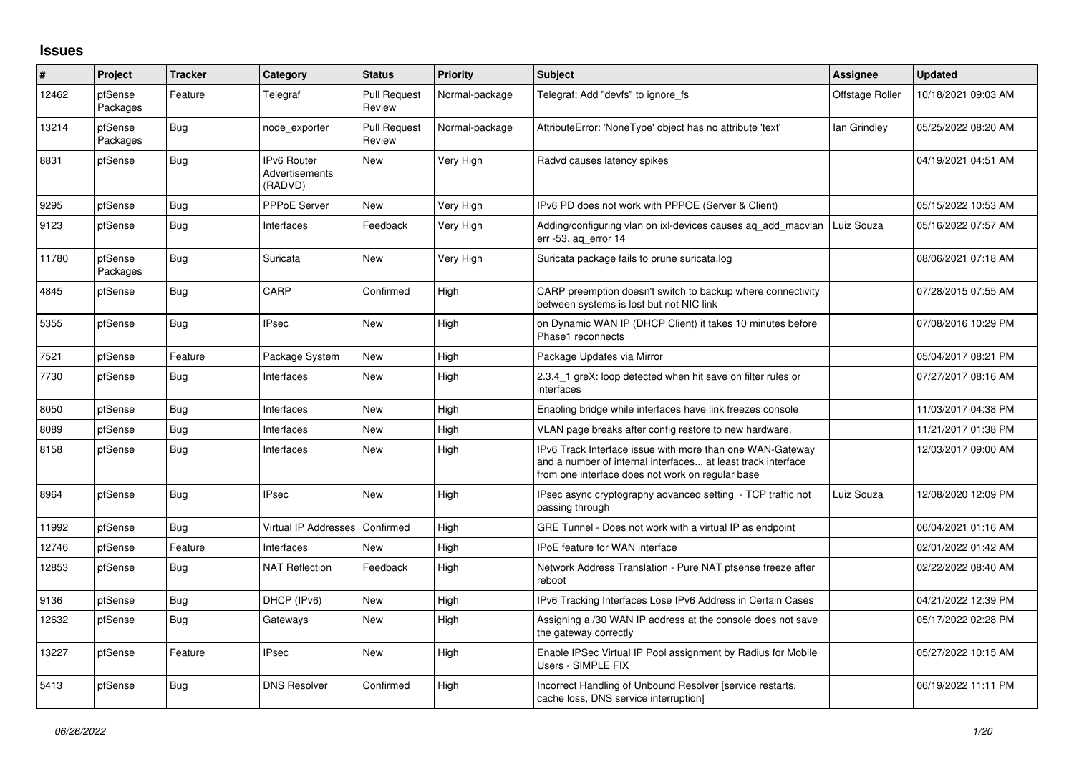## **Issues**

| ∦     | Project             | <b>Tracker</b> | Category                                        | <b>Status</b>                 | <b>Priority</b> | <b>Subject</b>                                                                                                                                                                | Assignee        | <b>Updated</b>      |
|-------|---------------------|----------------|-------------------------------------------------|-------------------------------|-----------------|-------------------------------------------------------------------------------------------------------------------------------------------------------------------------------|-----------------|---------------------|
| 12462 | pfSense<br>Packages | Feature        | Telegraf                                        | <b>Pull Request</b><br>Review | Normal-package  | Telegraf: Add "devfs" to ignore fs                                                                                                                                            | Offstage Roller | 10/18/2021 09:03 AM |
| 13214 | pfSense<br>Packages | <b>Bug</b>     | node exporter                                   | <b>Pull Request</b><br>Review | Normal-package  | AttributeError: 'NoneType' object has no attribute 'text'                                                                                                                     | lan Grindley    | 05/25/2022 08:20 AM |
| 8831  | pfSense             | <b>Bug</b>     | <b>IPv6 Router</b><br>Advertisements<br>(RADVD) | <b>New</b>                    | Very High       | Radvd causes latency spikes                                                                                                                                                   |                 | 04/19/2021 04:51 AM |
| 9295  | pfSense             | Bug            | <b>PPPoE Server</b>                             | <b>New</b>                    | Very High       | IPv6 PD does not work with PPPOE (Server & Client)                                                                                                                            |                 | 05/15/2022 10:53 AM |
| 9123  | pfSense             | <b>Bug</b>     | Interfaces                                      | Feedback                      | Very High       | Adding/configuring vlan on ixl-devices causes ag add macvlan<br>err -53, ag error 14                                                                                          | Luiz Souza      | 05/16/2022 07:57 AM |
| 11780 | pfSense<br>Packages | <b>Bug</b>     | Suricata                                        | <b>New</b>                    | Very High       | Suricata package fails to prune suricata.log                                                                                                                                  |                 | 08/06/2021 07:18 AM |
| 4845  | pfSense             | <b>Bug</b>     | CARP                                            | Confirmed                     | High            | CARP preemption doesn't switch to backup where connectivity<br>between systems is lost but not NIC link                                                                       |                 | 07/28/2015 07:55 AM |
| 5355  | pfSense             | <b>Bug</b>     | <b>IPsec</b>                                    | <b>New</b>                    | High            | on Dynamic WAN IP (DHCP Client) it takes 10 minutes before<br>Phase1 reconnects                                                                                               |                 | 07/08/2016 10:29 PM |
| 7521  | pfSense             | Feature        | Package System                                  | <b>New</b>                    | High            | Package Updates via Mirror                                                                                                                                                    |                 | 05/04/2017 08:21 PM |
| 7730  | pfSense             | <b>Bug</b>     | Interfaces                                      | <b>New</b>                    | High            | 2.3.4 1 greX: loop detected when hit save on filter rules or<br>interfaces                                                                                                    |                 | 07/27/2017 08:16 AM |
| 8050  | pfSense             | <b>Bug</b>     | Interfaces                                      | <b>New</b>                    | High            | Enabling bridge while interfaces have link freezes console                                                                                                                    |                 | 11/03/2017 04:38 PM |
| 8089  | pfSense             | Bug            | Interfaces                                      | <b>New</b>                    | High            | VLAN page breaks after config restore to new hardware.                                                                                                                        |                 | 11/21/2017 01:38 PM |
| 8158  | pfSense             | <b>Bug</b>     | Interfaces                                      | <b>New</b>                    | High            | IPv6 Track Interface issue with more than one WAN-Gateway<br>and a number of internal interfaces at least track interface<br>from one interface does not work on regular base |                 | 12/03/2017 09:00 AM |
| 8964  | pfSense             | <b>Bug</b>     | <b>IPsec</b>                                    | <b>New</b>                    | High            | IPsec async cryptography advanced setting - TCP traffic not<br>passing through                                                                                                | Luiz Souza      | 12/08/2020 12:09 PM |
| 11992 | pfSense             | Bug            | Virtual IP Addresses                            | Confirmed                     | High            | GRE Tunnel - Does not work with a virtual IP as endpoint                                                                                                                      |                 | 06/04/2021 01:16 AM |
| 12746 | pfSense             | Feature        | Interfaces                                      | <b>New</b>                    | High            | <b>IPoE</b> feature for WAN interface                                                                                                                                         |                 | 02/01/2022 01:42 AM |
| 12853 | pfSense             | Bug            | <b>NAT Reflection</b>                           | Feedback                      | High            | Network Address Translation - Pure NAT pfsense freeze after<br>reboot                                                                                                         |                 | 02/22/2022 08:40 AM |
| 9136  | pfSense             | Bug            | DHCP (IPv6)                                     | <b>New</b>                    | High            | IPv6 Tracking Interfaces Lose IPv6 Address in Certain Cases                                                                                                                   |                 | 04/21/2022 12:39 PM |
| 12632 | pfSense             | <b>Bug</b>     | Gateways                                        | New                           | High            | Assigning a /30 WAN IP address at the console does not save<br>the gateway correctly                                                                                          |                 | 05/17/2022 02:28 PM |
| 13227 | pfSense             | Feature        | <b>IPsec</b>                                    | <b>New</b>                    | High            | Enable IPSec Virtual IP Pool assignment by Radius for Mobile<br>Users - SIMPLE FIX                                                                                            |                 | 05/27/2022 10:15 AM |
| 5413  | pfSense             | <b>Bug</b>     | <b>DNS Resolver</b>                             | Confirmed                     | High            | Incorrect Handling of Unbound Resolver [service restarts,<br>cache loss, DNS service interruption]                                                                            |                 | 06/19/2022 11:11 PM |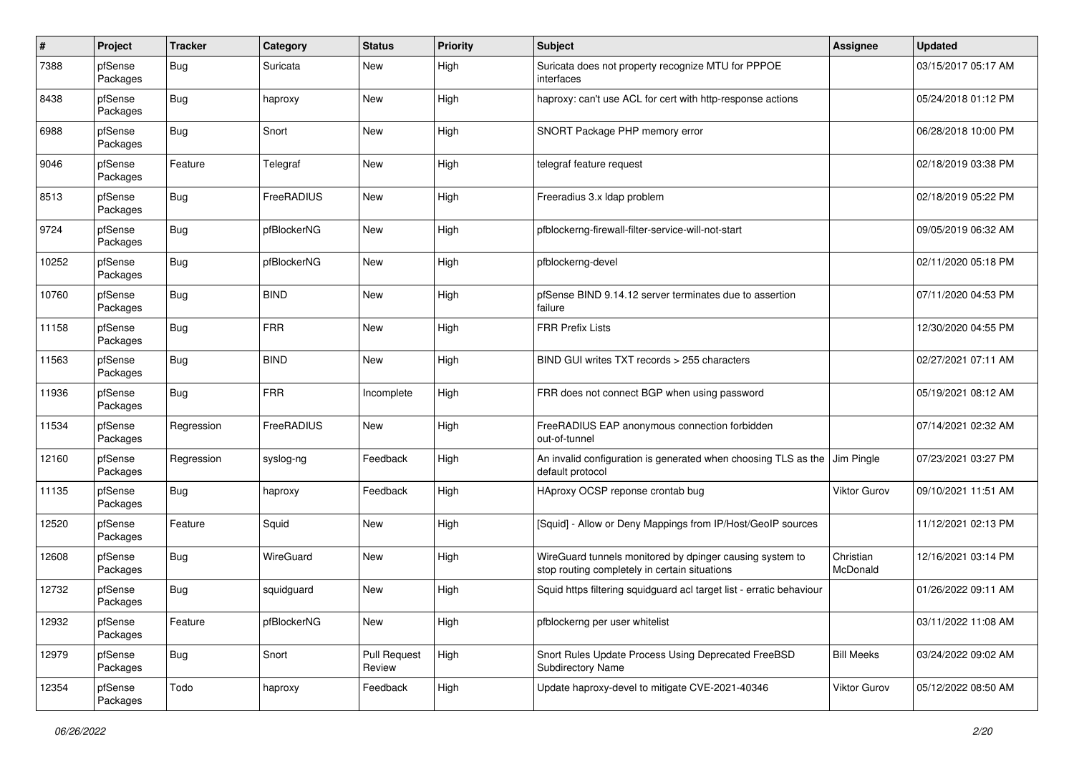| #     | Project             | <b>Tracker</b> | Category    | <b>Status</b>                 | <b>Priority</b> | <b>Subject</b>                                                                                            | <b>Assignee</b>       | <b>Updated</b>      |
|-------|---------------------|----------------|-------------|-------------------------------|-----------------|-----------------------------------------------------------------------------------------------------------|-----------------------|---------------------|
| 7388  | pfSense<br>Packages | <b>Bug</b>     | Suricata    | <b>New</b>                    | High            | Suricata does not property recognize MTU for PPPOE<br>interfaces                                          |                       | 03/15/2017 05:17 AM |
| 8438  | pfSense<br>Packages | <b>Bug</b>     | haproxy     | <b>New</b>                    | High            | haproxy: can't use ACL for cert with http-response actions                                                |                       | 05/24/2018 01:12 PM |
| 6988  | pfSense<br>Packages | <b>Bug</b>     | Snort       | <b>New</b>                    | High            | SNORT Package PHP memory error                                                                            |                       | 06/28/2018 10:00 PM |
| 9046  | pfSense<br>Packages | Feature        | Telegraf    | <b>New</b>                    | High            | telegraf feature request                                                                                  |                       | 02/18/2019 03:38 PM |
| 8513  | pfSense<br>Packages | <b>Bug</b>     | FreeRADIUS  | <b>New</b>                    | High            | Freeradius 3.x Idap problem                                                                               |                       | 02/18/2019 05:22 PM |
| 9724  | pfSense<br>Packages | <b>Bug</b>     | pfBlockerNG | <b>New</b>                    | High            | pfblockerng-firewall-filter-service-will-not-start                                                        |                       | 09/05/2019 06:32 AM |
| 10252 | pfSense<br>Packages | Bug            | pfBlockerNG | <b>New</b>                    | High            | pfblockerng-devel                                                                                         |                       | 02/11/2020 05:18 PM |
| 10760 | pfSense<br>Packages | <b>Bug</b>     | <b>BIND</b> | <b>New</b>                    | High            | pfSense BIND 9.14.12 server terminates due to assertion<br>failure                                        |                       | 07/11/2020 04:53 PM |
| 11158 | pfSense<br>Packages | <b>Bug</b>     | <b>FRR</b>  | <b>New</b>                    | High            | <b>FRR Prefix Lists</b>                                                                                   |                       | 12/30/2020 04:55 PM |
| 11563 | pfSense<br>Packages | <b>Bug</b>     | <b>BIND</b> | <b>New</b>                    | High            | BIND GUI writes TXT records > 255 characters                                                              |                       | 02/27/2021 07:11 AM |
| 11936 | pfSense<br>Packages | <b>Bug</b>     | <b>FRR</b>  | Incomplete                    | High            | FRR does not connect BGP when using password                                                              |                       | 05/19/2021 08:12 AM |
| 11534 | pfSense<br>Packages | Regression     | FreeRADIUS  | <b>New</b>                    | High            | FreeRADIUS EAP anonymous connection forbidden<br>out-of-tunnel                                            |                       | 07/14/2021 02:32 AM |
| 12160 | pfSense<br>Packages | Regression     | syslog-ng   | Feedback                      | High            | An invalid configuration is generated when choosing TLS as the<br>default protocol                        | Jim Pingle            | 07/23/2021 03:27 PM |
| 11135 | pfSense<br>Packages | <b>Bug</b>     | haproxy     | Feedback                      | High            | HAproxy OCSP reponse crontab bug                                                                          | <b>Viktor Gurov</b>   | 09/10/2021 11:51 AM |
| 12520 | pfSense<br>Packages | Feature        | Squid       | <b>New</b>                    | High            | [Squid] - Allow or Deny Mappings from IP/Host/GeoIP sources                                               |                       | 11/12/2021 02:13 PM |
| 12608 | pfSense<br>Packages | <b>Bug</b>     | WireGuard   | New                           | High            | WireGuard tunnels monitored by dpinger causing system to<br>stop routing completely in certain situations | Christian<br>McDonald | 12/16/2021 03:14 PM |
| 12732 | pfSense<br>Packages | <b>Bug</b>     | squidguard  | <b>New</b>                    | High            | Squid https filtering squidguard acl target list - erratic behaviour                                      |                       | 01/26/2022 09:11 AM |
| 12932 | pfSense<br>Packages | Feature        | pfBlockerNG | New                           | High            | pfblockerng per user whitelist                                                                            |                       | 03/11/2022 11:08 AM |
| 12979 | pfSense<br>Packages | Bug            | Snort       | <b>Pull Request</b><br>Review | High            | Snort Rules Update Process Using Deprecated FreeBSD<br>Subdirectory Name                                  | <b>Bill Meeks</b>     | 03/24/2022 09:02 AM |
| 12354 | pfSense<br>Packages | Todo           | haproxy     | Feedback                      | High            | Update haproxy-devel to mitigate CVE-2021-40346                                                           | Viktor Gurov          | 05/12/2022 08:50 AM |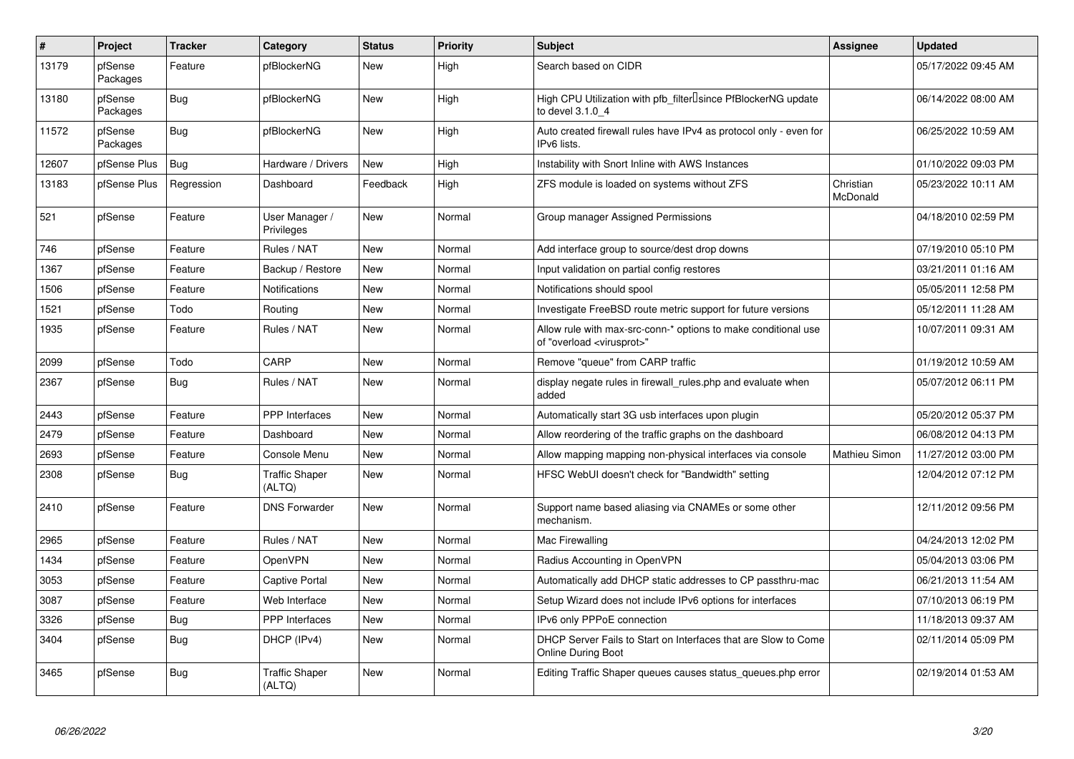| $\vert$ # | Project             | <b>Tracker</b> | Category                        | <b>Status</b> | <b>Priority</b> | <b>Subject</b>                                                                                          | Assignee              | <b>Updated</b>      |
|-----------|---------------------|----------------|---------------------------------|---------------|-----------------|---------------------------------------------------------------------------------------------------------|-----------------------|---------------------|
| 13179     | pfSense<br>Packages | Feature        | pfBlockerNG                     | <b>New</b>    | High            | Search based on CIDR                                                                                    |                       | 05/17/2022 09:45 AM |
| 13180     | pfSense<br>Packages | <b>Bug</b>     | pfBlockerNG                     | <b>New</b>    | High            | High CPU Utilization with pfb_filter <sup>[]</sup> since PfBlockerNG update<br>to devel 3.1.0 4         |                       | 06/14/2022 08:00 AM |
| 11572     | pfSense<br>Packages | Bug            | pfBlockerNG                     | <b>New</b>    | High            | Auto created firewall rules have IPv4 as protocol only - even for<br>IPv6 lists.                        |                       | 06/25/2022 10:59 AM |
| 12607     | pfSense Plus        | <b>Bug</b>     | Hardware / Drivers              | <b>New</b>    | High            | Instability with Snort Inline with AWS Instances                                                        |                       | 01/10/2022 09:03 PM |
| 13183     | pfSense Plus        | Regression     | Dashboard                       | Feedback      | High            | ZFS module is loaded on systems without ZFS                                                             | Christian<br>McDonald | 05/23/2022 10:11 AM |
| 521       | pfSense             | Feature        | User Manager /<br>Privileges    | <b>New</b>    | Normal          | Group manager Assigned Permissions                                                                      |                       | 04/18/2010 02:59 PM |
| 746       | pfSense             | Feature        | Rules / NAT                     | <b>New</b>    | Normal          | Add interface group to source/dest drop downs                                                           |                       | 07/19/2010 05:10 PM |
| 1367      | pfSense             | Feature        | Backup / Restore                | <b>New</b>    | Normal          | Input validation on partial config restores                                                             |                       | 03/21/2011 01:16 AM |
| 1506      | pfSense             | Feature        | <b>Notifications</b>            | <b>New</b>    | Normal          | Notifications should spool                                                                              |                       | 05/05/2011 12:58 PM |
| 1521      | pfSense             | Todo           | Routing                         | <b>New</b>    | Normal          | Investigate FreeBSD route metric support for future versions                                            |                       | 05/12/2011 11:28 AM |
| 1935      | pfSense             | Feature        | Rules / NAT                     | <b>New</b>    | Normal          | Allow rule with max-src-conn-* options to make conditional use<br>of "overload <virusprot>"</virusprot> |                       | 10/07/2011 09:31 AM |
| 2099      | pfSense             | Todo           | CARP                            | <b>New</b>    | Normal          | Remove "queue" from CARP traffic                                                                        |                       | 01/19/2012 10:59 AM |
| 2367      | pfSense             | <b>Bug</b>     | Rules / NAT                     | <b>New</b>    | Normal          | display negate rules in firewall rules.php and evaluate when<br>added                                   |                       | 05/07/2012 06:11 PM |
| 2443      | pfSense             | Feature        | PPP Interfaces                  | <b>New</b>    | Normal          | Automatically start 3G usb interfaces upon plugin                                                       |                       | 05/20/2012 05:37 PM |
| 2479      | pfSense             | Feature        | Dashboard                       | <b>New</b>    | Normal          | Allow reordering of the traffic graphs on the dashboard                                                 |                       | 06/08/2012 04:13 PM |
| 2693      | pfSense             | Feature        | Console Menu                    | <b>New</b>    | Normal          | Allow mapping mapping non-physical interfaces via console                                               | Mathieu Simon         | 11/27/2012 03:00 PM |
| 2308      | pfSense             | <b>Bug</b>     | <b>Traffic Shaper</b><br>(ALTQ) | <b>New</b>    | Normal          | HFSC WebUI doesn't check for "Bandwidth" setting                                                        |                       | 12/04/2012 07:12 PM |
| 2410      | pfSense             | Feature        | <b>DNS Forwarder</b>            | <b>New</b>    | Normal          | Support name based aliasing via CNAMEs or some other<br>mechanism.                                      |                       | 12/11/2012 09:56 PM |
| 2965      | pfSense             | Feature        | Rules / NAT                     | <b>New</b>    | Normal          | Mac Firewalling                                                                                         |                       | 04/24/2013 12:02 PM |
| 1434      | pfSense             | Feature        | OpenVPN                         | <b>New</b>    | Normal          | Radius Accounting in OpenVPN                                                                            |                       | 05/04/2013 03:06 PM |
| 3053      | pfSense             | Feature        | <b>Captive Portal</b>           | <b>New</b>    | Normal          | Automatically add DHCP static addresses to CP passthru-mac                                              |                       | 06/21/2013 11:54 AM |
| 3087      | pfSense             | Feature        | Web Interface                   | <b>New</b>    | Normal          | Setup Wizard does not include IPv6 options for interfaces                                               |                       | 07/10/2013 06:19 PM |
| 3326      | pfSense             | <b>Bug</b>     | PPP Interfaces                  | <b>New</b>    | Normal          | IPv6 only PPPoE connection                                                                              |                       | 11/18/2013 09:37 AM |
| 3404      | pfSense             | <b>Bug</b>     | DHCP (IPv4)                     | <b>New</b>    | Normal          | DHCP Server Fails to Start on Interfaces that are Slow to Come<br>Online During Boot                    |                       | 02/11/2014 05:09 PM |
| 3465      | pfSense             | Bug            | <b>Traffic Shaper</b><br>(ALTQ) | <b>New</b>    | Normal          | Editing Traffic Shaper queues causes status_queues.php error                                            |                       | 02/19/2014 01:53 AM |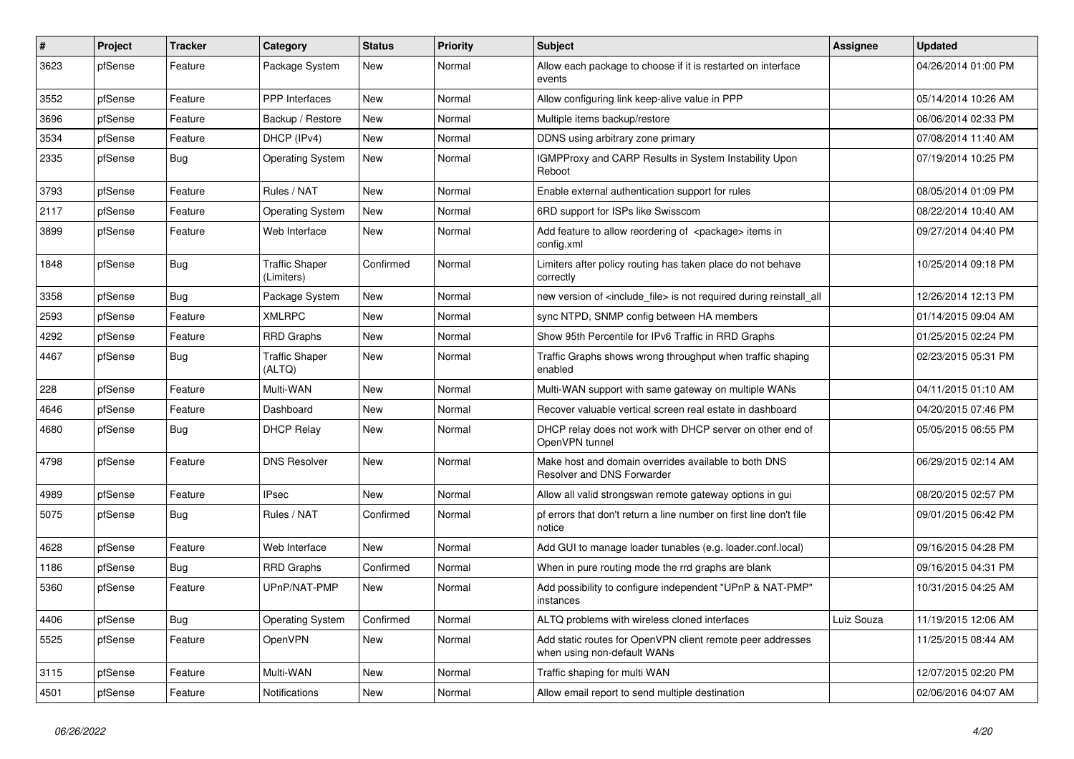| ∦    | Project | Tracker    | Category                            | <b>Status</b> | <b>Priority</b> | <b>Subject</b>                                                                            | Assignee   | <b>Updated</b>      |
|------|---------|------------|-------------------------------------|---------------|-----------------|-------------------------------------------------------------------------------------------|------------|---------------------|
| 3623 | pfSense | Feature    | Package System                      | New           | Normal          | Allow each package to choose if it is restarted on interface<br>events                    |            | 04/26/2014 01:00 PM |
| 3552 | pfSense | Feature    | <b>PPP</b> Interfaces               | <b>New</b>    | Normal          | Allow configuring link keep-alive value in PPP                                            |            | 05/14/2014 10:26 AM |
| 3696 | pfSense | Feature    | Backup / Restore                    | <b>New</b>    | Normal          | Multiple items backup/restore                                                             |            | 06/06/2014 02:33 PM |
| 3534 | pfSense | Feature    | DHCP (IPv4)                         | <b>New</b>    | Normal          | DDNS using arbitrary zone primary                                                         |            | 07/08/2014 11:40 AM |
| 2335 | pfSense | <b>Bug</b> | <b>Operating System</b>             | <b>New</b>    | Normal          | IGMPProxy and CARP Results in System Instability Upon<br>Reboot                           |            | 07/19/2014 10:25 PM |
| 3793 | pfSense | Feature    | Rules / NAT                         | <b>New</b>    | Normal          | Enable external authentication support for rules                                          |            | 08/05/2014 01:09 PM |
| 2117 | pfSense | Feature    | <b>Operating System</b>             | <b>New</b>    | Normal          | 6RD support for ISPs like Swisscom                                                        |            | 08/22/2014 10:40 AM |
| 3899 | pfSense | Feature    | Web Interface                       | <b>New</b>    | Normal          | Add feature to allow reordering of <package> items in<br/>config.xml</package>            |            | 09/27/2014 04:40 PM |
| 1848 | pfSense | <b>Bug</b> | <b>Traffic Shaper</b><br>(Limiters) | Confirmed     | Normal          | Limiters after policy routing has taken place do not behave<br>correctly                  |            | 10/25/2014 09:18 PM |
| 3358 | pfSense | <b>Bug</b> | Package System                      | <b>New</b>    | Normal          | new version of <include file=""> is not required during reinstall all</include>           |            | 12/26/2014 12:13 PM |
| 2593 | pfSense | Feature    | <b>XMLRPC</b>                       | <b>New</b>    | Normal          | sync NTPD, SNMP config between HA members                                                 |            | 01/14/2015 09:04 AM |
| 4292 | pfSense | Feature    | <b>RRD Graphs</b>                   | <b>New</b>    | Normal          | Show 95th Percentile for IPv6 Traffic in RRD Graphs                                       |            | 01/25/2015 02:24 PM |
| 4467 | pfSense | <b>Bug</b> | <b>Traffic Shaper</b><br>(ALTQ)     | New           | Normal          | Traffic Graphs shows wrong throughput when traffic shaping<br>enabled                     |            | 02/23/2015 05:31 PM |
| 228  | pfSense | Feature    | Multi-WAN                           | <b>New</b>    | Normal          | Multi-WAN support with same gateway on multiple WANs                                      |            | 04/11/2015 01:10 AM |
| 4646 | pfSense | Feature    | Dashboard                           | <b>New</b>    | Normal          | Recover valuable vertical screen real estate in dashboard                                 |            | 04/20/2015 07:46 PM |
| 4680 | pfSense | <b>Bug</b> | <b>DHCP Relay</b>                   | <b>New</b>    | Normal          | DHCP relay does not work with DHCP server on other end of<br>OpenVPN tunnel               |            | 05/05/2015 06:55 PM |
| 4798 | pfSense | Feature    | <b>DNS Resolver</b>                 | <b>New</b>    | Normal          | Make host and domain overrides available to both DNS<br>Resolver and DNS Forwarder        |            | 06/29/2015 02:14 AM |
| 4989 | pfSense | Feature    | <b>IPsec</b>                        | New           | Normal          | Allow all valid strongswan remote gateway options in gui                                  |            | 08/20/2015 02:57 PM |
| 5075 | pfSense | <b>Bug</b> | Rules / NAT                         | Confirmed     | Normal          | pf errors that don't return a line number on first line don't file<br>notice              |            | 09/01/2015 06:42 PM |
| 4628 | pfSense | Feature    | Web Interface                       | <b>New</b>    | Normal          | Add GUI to manage loader tunables (e.g. loader.conf.local)                                |            | 09/16/2015 04:28 PM |
| 1186 | pfSense | <b>Bug</b> | <b>RRD Graphs</b>                   | Confirmed     | Normal          | When in pure routing mode the rrd graphs are blank                                        |            | 09/16/2015 04:31 PM |
| 5360 | pfSense | Feature    | UPnP/NAT-PMP                        | New           | Normal          | Add possibility to configure independent "UPnP & NAT-PMP"<br>instances                    |            | 10/31/2015 04:25 AM |
| 4406 | pfSense | <b>Bug</b> | <b>Operating System</b>             | Confirmed     | Normal          | ALTQ problems with wireless cloned interfaces                                             | Luiz Souza | 11/19/2015 12:06 AM |
| 5525 | pfSense | Feature    | OpenVPN                             | New           | Normal          | Add static routes for OpenVPN client remote peer addresses<br>when using non-default WANs |            | 11/25/2015 08:44 AM |
| 3115 | pfSense | Feature    | Multi-WAN                           | New           | Normal          | Traffic shaping for multi WAN                                                             |            | 12/07/2015 02:20 PM |
| 4501 | pfSense | Feature    | Notifications                       | New           | Normal          | Allow email report to send multiple destination                                           |            | 02/06/2016 04:07 AM |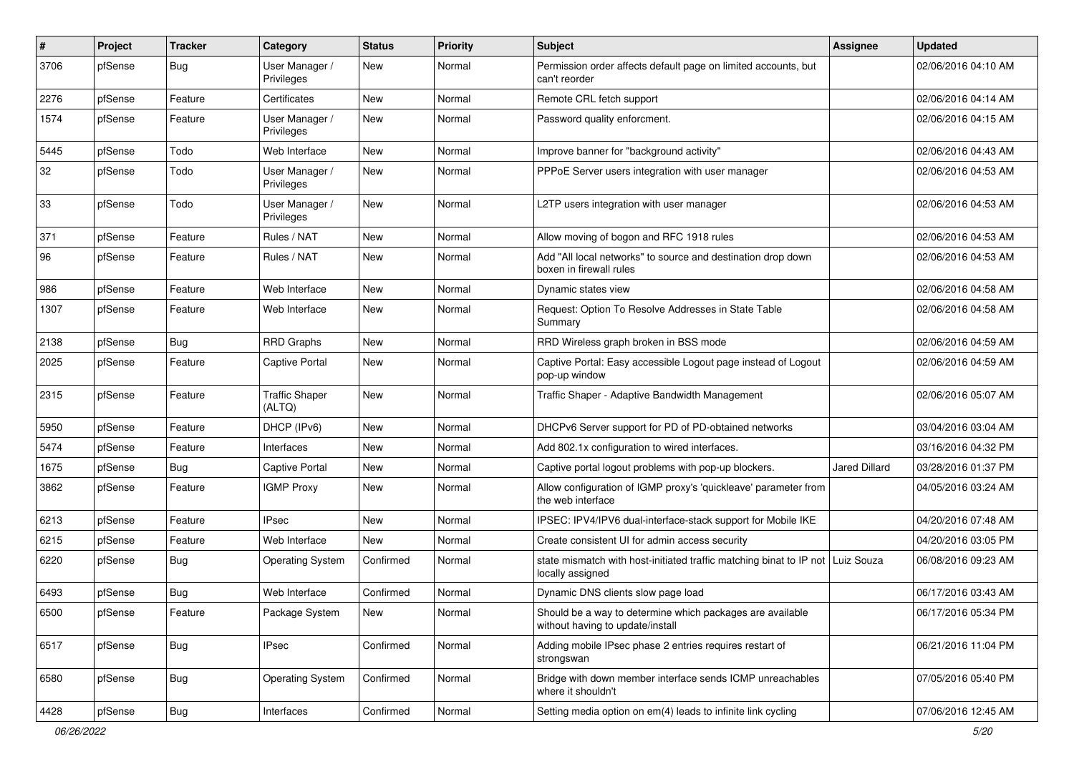| ∦    | Project | <b>Tracker</b> | Category                        | <b>Status</b> | <b>Priority</b> | Subject                                                                                              | Assignee             | <b>Updated</b>      |
|------|---------|----------------|---------------------------------|---------------|-----------------|------------------------------------------------------------------------------------------------------|----------------------|---------------------|
| 3706 | pfSense | <b>Bug</b>     | User Manager /<br>Privileges    | <b>New</b>    | Normal          | Permission order affects default page on limited accounts, but<br>can't reorder                      |                      | 02/06/2016 04:10 AM |
| 2276 | pfSense | Feature        | Certificates                    | <b>New</b>    | Normal          | Remote CRL fetch support                                                                             |                      | 02/06/2016 04:14 AM |
| 1574 | pfSense | Feature        | User Manager /<br>Privileges    | <b>New</b>    | Normal          | Password quality enforcment.                                                                         |                      | 02/06/2016 04:15 AM |
| 5445 | pfSense | Todo           | Web Interface                   | <b>New</b>    | Normal          | Improve banner for "background activity"                                                             |                      | 02/06/2016 04:43 AM |
| 32   | pfSense | Todo           | User Manager /<br>Privileges    | <b>New</b>    | Normal          | PPPoE Server users integration with user manager                                                     |                      | 02/06/2016 04:53 AM |
| 33   | pfSense | Todo           | User Manager /<br>Privileges    | <b>New</b>    | Normal          | L2TP users integration with user manager                                                             |                      | 02/06/2016 04:53 AM |
| 371  | pfSense | Feature        | Rules / NAT                     | <b>New</b>    | Normal          | Allow moving of bogon and RFC 1918 rules                                                             |                      | 02/06/2016 04:53 AM |
| 96   | pfSense | Feature        | Rules / NAT                     | <b>New</b>    | Normal          | Add "All local networks" to source and destination drop down<br>boxen in firewall rules              |                      | 02/06/2016 04:53 AM |
| 986  | pfSense | Feature        | Web Interface                   | <b>New</b>    | Normal          | Dynamic states view                                                                                  |                      | 02/06/2016 04:58 AM |
| 1307 | pfSense | Feature        | Web Interface                   | <b>New</b>    | Normal          | Request: Option To Resolve Addresses in State Table<br>Summary                                       |                      | 02/06/2016 04:58 AM |
| 2138 | pfSense | <b>Bug</b>     | <b>RRD Graphs</b>               | <b>New</b>    | Normal          | RRD Wireless graph broken in BSS mode                                                                |                      | 02/06/2016 04:59 AM |
| 2025 | pfSense | Feature        | <b>Captive Portal</b>           | <b>New</b>    | Normal          | Captive Portal: Easy accessible Logout page instead of Logout<br>pop-up window                       |                      | 02/06/2016 04:59 AM |
| 2315 | pfSense | Feature        | <b>Traffic Shaper</b><br>(ALTQ) | <b>New</b>    | Normal          | Traffic Shaper - Adaptive Bandwidth Management                                                       |                      | 02/06/2016 05:07 AM |
| 5950 | pfSense | Feature        | DHCP (IPv6)                     | <b>New</b>    | Normal          | DHCPv6 Server support for PD of PD-obtained networks                                                 |                      | 03/04/2016 03:04 AM |
| 5474 | pfSense | Feature        | Interfaces                      | <b>New</b>    | Normal          | Add 802.1x configuration to wired interfaces.                                                        |                      | 03/16/2016 04:32 PM |
| 1675 | pfSense | <b>Bug</b>     | Captive Portal                  | <b>New</b>    | Normal          | Captive portal logout problems with pop-up blockers.                                                 | <b>Jared Dillard</b> | 03/28/2016 01:37 PM |
| 3862 | pfSense | Feature        | <b>IGMP Proxy</b>               | <b>New</b>    | Normal          | Allow configuration of IGMP proxy's 'quickleave' parameter from<br>the web interface                 |                      | 04/05/2016 03:24 AM |
| 6213 | pfSense | Feature        | <b>IPsec</b>                    | <b>New</b>    | Normal          | IPSEC: IPV4/IPV6 dual-interface-stack support for Mobile IKE                                         |                      | 04/20/2016 07:48 AM |
| 6215 | pfSense | Feature        | Web Interface                   | <b>New</b>    | Normal          | Create consistent UI for admin access security                                                       |                      | 04/20/2016 03:05 PM |
| 6220 | pfSense | <b>Bug</b>     | <b>Operating System</b>         | Confirmed     | Normal          | state mismatch with host-initiated traffic matching binat to IP not   Luiz Souza<br>locally assigned |                      | 06/08/2016 09:23 AM |
| 6493 | pfSense | <b>Bug</b>     | Web Interface                   | Confirmed     | Normal          | Dynamic DNS clients slow page load                                                                   |                      | 06/17/2016 03:43 AM |
| 6500 | pfSense | Feature        | Package System                  | New           | Normal          | Should be a way to determine which packages are available<br>without having to update/install        |                      | 06/17/2016 05:34 PM |
| 6517 | pfSense | <b>Bug</b>     | <b>IPsec</b>                    | Confirmed     | Normal          | Adding mobile IPsec phase 2 entries requires restart of<br>strongswan                                |                      | 06/21/2016 11:04 PM |
| 6580 | pfSense | Bug            | <b>Operating System</b>         | Confirmed     | Normal          | Bridge with down member interface sends ICMP unreachables<br>where it shouldn't                      |                      | 07/05/2016 05:40 PM |
| 4428 | pfSense | <b>Bug</b>     | Interfaces                      | Confirmed     | Normal          | Setting media option on em(4) leads to infinite link cycling                                         |                      | 07/06/2016 12:45 AM |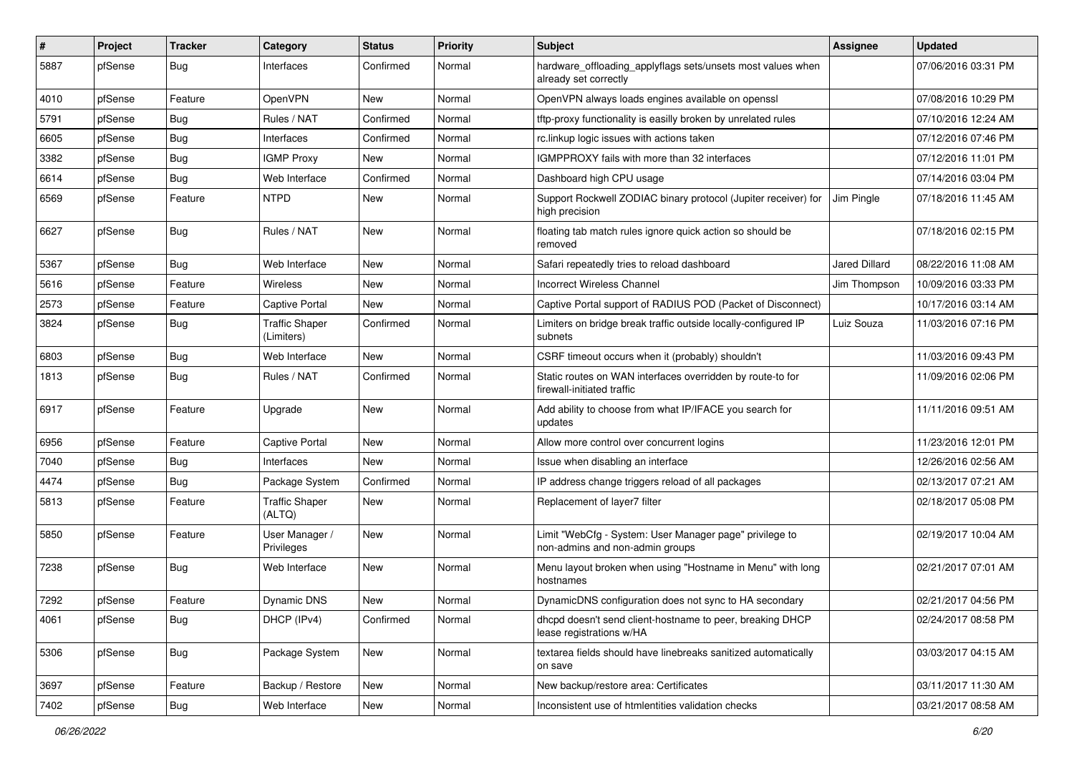| ∦    | Project | <b>Tracker</b> | Category                            | <b>Status</b> | <b>Priority</b> | <b>Subject</b>                                                                             | Assignee             | <b>Updated</b>      |
|------|---------|----------------|-------------------------------------|---------------|-----------------|--------------------------------------------------------------------------------------------|----------------------|---------------------|
| 5887 | pfSense | <b>Bug</b>     | Interfaces                          | Confirmed     | Normal          | hardware_offloading_applyflags sets/unsets most values when<br>already set correctly       |                      | 07/06/2016 03:31 PM |
| 4010 | pfSense | Feature        | OpenVPN                             | <b>New</b>    | Normal          | OpenVPN always loads engines available on openssl                                          |                      | 07/08/2016 10:29 PM |
| 5791 | pfSense | <b>Bug</b>     | Rules / NAT                         | Confirmed     | Normal          | tftp-proxy functionality is easilly broken by unrelated rules                              |                      | 07/10/2016 12:24 AM |
| 6605 | pfSense | <b>Bug</b>     | Interfaces                          | Confirmed     | Normal          | rc.linkup logic issues with actions taken                                                  |                      | 07/12/2016 07:46 PM |
| 3382 | pfSense | <b>Bug</b>     | <b>IGMP Proxy</b>                   | <b>New</b>    | Normal          | IGMPPROXY fails with more than 32 interfaces                                               |                      | 07/12/2016 11:01 PM |
| 6614 | pfSense | <b>Bug</b>     | Web Interface                       | Confirmed     | Normal          | Dashboard high CPU usage                                                                   |                      | 07/14/2016 03:04 PM |
| 6569 | pfSense | Feature        | <b>NTPD</b>                         | <b>New</b>    | Normal          | Support Rockwell ZODIAC binary protocol (Jupiter receiver) for<br>high precision           | Jim Pinale           | 07/18/2016 11:45 AM |
| 6627 | pfSense | <b>Bug</b>     | Rules / NAT                         | <b>New</b>    | Normal          | floating tab match rules ignore quick action so should be<br>removed                       |                      | 07/18/2016 02:15 PM |
| 5367 | pfSense | Bug            | Web Interface                       | <b>New</b>    | Normal          | Safari repeatedly tries to reload dashboard                                                | <b>Jared Dillard</b> | 08/22/2016 11:08 AM |
| 5616 | pfSense | Feature        | Wireless                            | <b>New</b>    | Normal          | <b>Incorrect Wireless Channel</b>                                                          | Jim Thompson         | 10/09/2016 03:33 PM |
| 2573 | pfSense | Feature        | <b>Captive Portal</b>               | <b>New</b>    | Normal          | Captive Portal support of RADIUS POD (Packet of Disconnect)                                |                      | 10/17/2016 03:14 AM |
| 3824 | pfSense | <b>Bug</b>     | <b>Traffic Shaper</b><br>(Limiters) | Confirmed     | Normal          | Limiters on bridge break traffic outside locally-configured IP<br>subnets                  | Luiz Souza           | 11/03/2016 07:16 PM |
| 6803 | pfSense | Bug            | Web Interface                       | <b>New</b>    | Normal          | CSRF timeout occurs when it (probably) shouldn't                                           |                      | 11/03/2016 09:43 PM |
| 1813 | pfSense | <b>Bug</b>     | Rules / NAT                         | Confirmed     | Normal          | Static routes on WAN interfaces overridden by route-to for<br>firewall-initiated traffic   |                      | 11/09/2016 02:06 PM |
| 6917 | pfSense | Feature        | Upgrade                             | <b>New</b>    | Normal          | Add ability to choose from what IP/IFACE you search for<br>updates                         |                      | 11/11/2016 09:51 AM |
| 6956 | pfSense | Feature        | <b>Captive Portal</b>               | <b>New</b>    | Normal          | Allow more control over concurrent logins                                                  |                      | 11/23/2016 12:01 PM |
| 7040 | pfSense | <b>Bug</b>     | Interfaces                          | <b>New</b>    | Normal          | Issue when disabling an interface                                                          |                      | 12/26/2016 02:56 AM |
| 4474 | pfSense | Bug            | Package System                      | Confirmed     | Normal          | IP address change triggers reload of all packages                                          |                      | 02/13/2017 07:21 AM |
| 5813 | pfSense | Feature        | <b>Traffic Shaper</b><br>(ALTQ)     | <b>New</b>    | Normal          | Replacement of layer7 filter                                                               |                      | 02/18/2017 05:08 PM |
| 5850 | pfSense | Feature        | User Manager /<br>Privileges        | <b>New</b>    | Normal          | Limit "WebCfg - System: User Manager page" privilege to<br>non-admins and non-admin groups |                      | 02/19/2017 10:04 AM |
| 7238 | pfSense | <b>Bug</b>     | Web Interface                       | <b>New</b>    | Normal          | Menu layout broken when using "Hostname in Menu" with long<br>hostnames                    |                      | 02/21/2017 07:01 AM |
| 7292 | pfSense | Feature        | Dynamic DNS                         | <b>New</b>    | Normal          | DynamicDNS configuration does not sync to HA secondary                                     |                      | 02/21/2017 04:56 PM |
| 4061 | pfSense | <b>Bug</b>     | DHCP (IPv4)                         | Confirmed     | Normal          | dhcpd doesn't send client-hostname to peer, breaking DHCP<br>lease registrations w/HA      |                      | 02/24/2017 08:58 PM |
| 5306 | pfSense | <b>Bug</b>     | Package System                      | New           | Normal          | textarea fields should have linebreaks sanitized automatically<br>on save                  |                      | 03/03/2017 04:15 AM |
| 3697 | pfSense | Feature        | Backup / Restore                    | New           | Normal          | New backup/restore area: Certificates                                                      |                      | 03/11/2017 11:30 AM |
| 7402 | pfSense | <b>Bug</b>     | Web Interface                       | New           | Normal          | Inconsistent use of htmlentities validation checks                                         |                      | 03/21/2017 08:58 AM |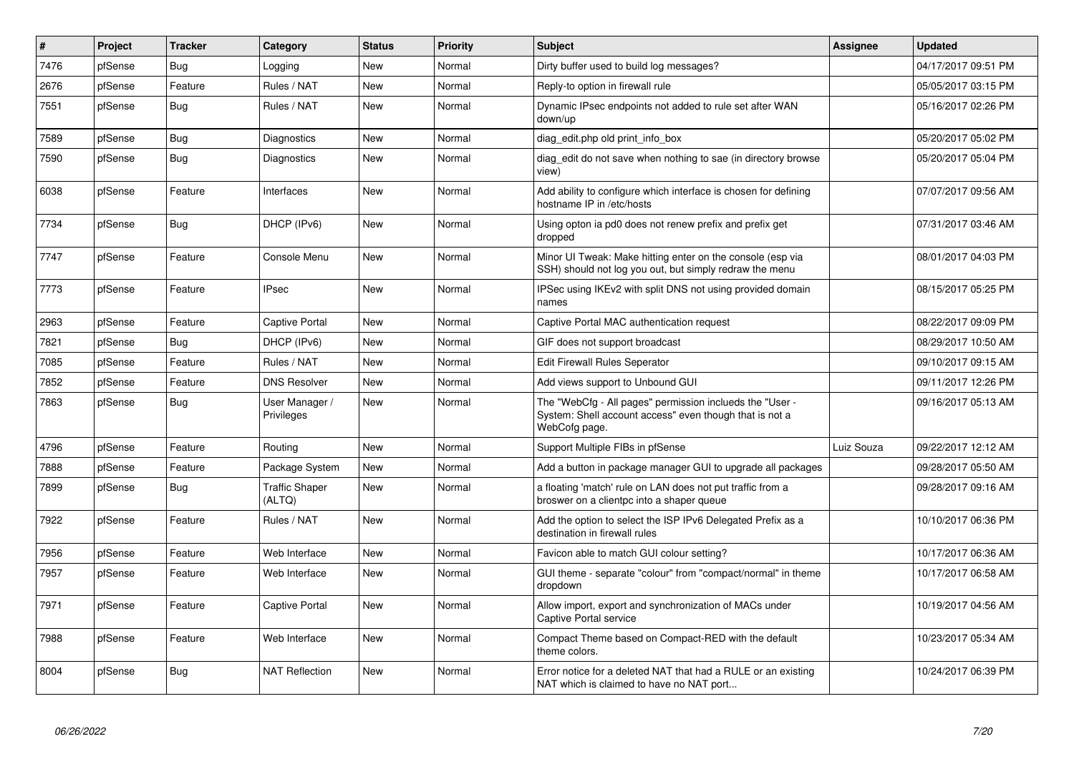| #    | Project | Tracker    | Category                        | <b>Status</b> | Priority | <b>Subject</b>                                                                                                                       | <b>Assignee</b> | <b>Updated</b>      |
|------|---------|------------|---------------------------------|---------------|----------|--------------------------------------------------------------------------------------------------------------------------------------|-----------------|---------------------|
| 7476 | pfSense | <b>Bug</b> | Logging                         | <b>New</b>    | Normal   | Dirty buffer used to build log messages?                                                                                             |                 | 04/17/2017 09:51 PM |
| 2676 | pfSense | Feature    | Rules / NAT                     | <b>New</b>    | Normal   | Reply-to option in firewall rule                                                                                                     |                 | 05/05/2017 03:15 PM |
| 7551 | pfSense | <b>Bug</b> | Rules / NAT                     | <b>New</b>    | Normal   | Dynamic IPsec endpoints not added to rule set after WAN<br>down/up                                                                   |                 | 05/16/2017 02:26 PM |
| 7589 | pfSense | <b>Bug</b> | Diagnostics                     | <b>New</b>    | Normal   | diag edit.php old print info box                                                                                                     |                 | 05/20/2017 05:02 PM |
| 7590 | pfSense | Bug        | Diagnostics                     | <b>New</b>    | Normal   | diag edit do not save when nothing to sae (in directory browse<br>view)                                                              |                 | 05/20/2017 05:04 PM |
| 6038 | pfSense | Feature    | Interfaces                      | <b>New</b>    | Normal   | Add ability to configure which interface is chosen for defining<br>hostname IP in /etc/hosts                                         |                 | 07/07/2017 09:56 AM |
| 7734 | pfSense | Bug        | DHCP (IPv6)                     | <b>New</b>    | Normal   | Using opton ia pd0 does not renew prefix and prefix get<br>dropped                                                                   |                 | 07/31/2017 03:46 AM |
| 7747 | pfSense | Feature    | Console Menu                    | <b>New</b>    | Normal   | Minor UI Tweak: Make hitting enter on the console (esp via<br>SSH) should not log you out, but simply redraw the menu                |                 | 08/01/2017 04:03 PM |
| 7773 | pfSense | Feature    | <b>IPsec</b>                    | <b>New</b>    | Normal   | IPSec using IKEv2 with split DNS not using provided domain<br>names                                                                  |                 | 08/15/2017 05:25 PM |
| 2963 | pfSense | Feature    | Captive Portal                  | <b>New</b>    | Normal   | Captive Portal MAC authentication request                                                                                            |                 | 08/22/2017 09:09 PM |
| 7821 | pfSense | <b>Bug</b> | DHCP (IPv6)                     | <b>New</b>    | Normal   | GIF does not support broadcast                                                                                                       |                 | 08/29/2017 10:50 AM |
| 7085 | pfSense | Feature    | Rules / NAT                     | <b>New</b>    | Normal   | <b>Edit Firewall Rules Seperator</b>                                                                                                 |                 | 09/10/2017 09:15 AM |
| 7852 | pfSense | Feature    | <b>DNS Resolver</b>             | <b>New</b>    | Normal   | Add views support to Unbound GUI                                                                                                     |                 | 09/11/2017 12:26 PM |
| 7863 | pfSense | Bug        | User Manager /<br>Privileges    | <b>New</b>    | Normal   | The "WebCfg - All pages" permission inclueds the "User -<br>System: Shell account access" even though that is not a<br>WebCofg page. |                 | 09/16/2017 05:13 AM |
| 4796 | pfSense | Feature    | Routina                         | <b>New</b>    | Normal   | Support Multiple FIBs in pfSense                                                                                                     | Luiz Souza      | 09/22/2017 12:12 AM |
| 7888 | pfSense | Feature    | Package System                  | New           | Normal   | Add a button in package manager GUI to upgrade all packages                                                                          |                 | 09/28/2017 05:50 AM |
| 7899 | pfSense | <b>Bug</b> | <b>Traffic Shaper</b><br>(ALTQ) | <b>New</b>    | Normal   | a floating 'match' rule on LAN does not put traffic from a<br>broswer on a clientpc into a shaper queue                              |                 | 09/28/2017 09:16 AM |
| 7922 | pfSense | Feature    | Rules / NAT                     | <b>New</b>    | Normal   | Add the option to select the ISP IPv6 Delegated Prefix as a<br>destination in firewall rules                                         |                 | 10/10/2017 06:36 PM |
| 7956 | pfSense | Feature    | Web Interface                   | <b>New</b>    | Normal   | Favicon able to match GUI colour setting?                                                                                            |                 | 10/17/2017 06:36 AM |
| 7957 | pfSense | Feature    | Web Interface                   | New           | Normal   | GUI theme - separate "colour" from "compact/normal" in theme<br>dropdown                                                             |                 | 10/17/2017 06:58 AM |
| 7971 | pfSense | Feature    | Captive Portal                  | New           | Normal   | Allow import, export and synchronization of MACs under<br>Captive Portal service                                                     |                 | 10/19/2017 04:56 AM |
| 7988 | pfSense | Feature    | Web Interface                   | <b>New</b>    | Normal   | Compact Theme based on Compact-RED with the default<br>theme colors.                                                                 |                 | 10/23/2017 05:34 AM |
| 8004 | pfSense | Bug        | <b>NAT Reflection</b>           | <b>New</b>    | Normal   | Error notice for a deleted NAT that had a RULE or an existing<br>NAT which is claimed to have no NAT port                            |                 | 10/24/2017 06:39 PM |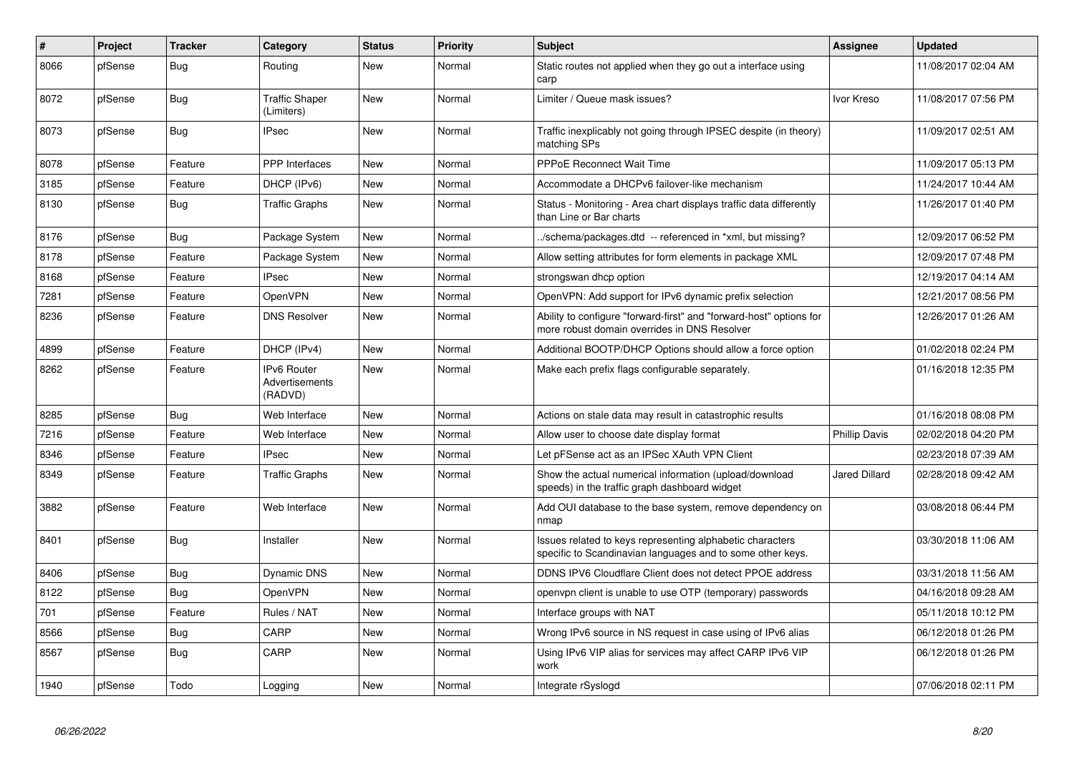| #    | Project | <b>Tracker</b> | Category                                        | <b>Status</b> | <b>Priority</b> | <b>Subject</b>                                                                                                          | Assignee             | <b>Updated</b>      |
|------|---------|----------------|-------------------------------------------------|---------------|-----------------|-------------------------------------------------------------------------------------------------------------------------|----------------------|---------------------|
| 8066 | pfSense | Bug            | Routing                                         | <b>New</b>    | Normal          | Static routes not applied when they go out a interface using<br>carp                                                    |                      | 11/08/2017 02:04 AM |
| 8072 | pfSense | Bug            | <b>Traffic Shaper</b><br>(Limiters)             | <b>New</b>    | Normal          | Limiter / Queue mask issues?                                                                                            | Ivor Kreso           | 11/08/2017 07:56 PM |
| 8073 | pfSense | <b>Bug</b>     | <b>IPsec</b>                                    | <b>New</b>    | Normal          | Traffic inexplicably not going through IPSEC despite (in theory)<br>matching SPs                                        |                      | 11/09/2017 02:51 AM |
| 8078 | pfSense | Feature        | <b>PPP</b> Interfaces                           | <b>New</b>    | Normal          | <b>PPPoE Reconnect Wait Time</b>                                                                                        |                      | 11/09/2017 05:13 PM |
| 3185 | pfSense | Feature        | DHCP (IPv6)                                     | <b>New</b>    | Normal          | Accommodate a DHCPv6 failover-like mechanism                                                                            |                      | 11/24/2017 10:44 AM |
| 8130 | pfSense | <b>Bug</b>     | <b>Traffic Graphs</b>                           | <b>New</b>    | Normal          | Status - Monitoring - Area chart displays traffic data differently<br>than Line or Bar charts                           |                      | 11/26/2017 01:40 PM |
| 8176 | pfSense | <b>Bug</b>     | Package System                                  | <b>New</b>    | Normal          | ./schema/packages.dtd -- referenced in *xml, but missing?                                                               |                      | 12/09/2017 06:52 PM |
| 8178 | pfSense | Feature        | Package System                                  | <b>New</b>    | Normal          | Allow setting attributes for form elements in package XML                                                               |                      | 12/09/2017 07:48 PM |
| 8168 | pfSense | Feature        | <b>IPsec</b>                                    | <b>New</b>    | Normal          | strongswan dhcp option                                                                                                  |                      | 12/19/2017 04:14 AM |
| 7281 | pfSense | Feature        | OpenVPN                                         | <b>New</b>    | Normal          | OpenVPN: Add support for IPv6 dynamic prefix selection                                                                  |                      | 12/21/2017 08:56 PM |
| 8236 | pfSense | Feature        | <b>DNS Resolver</b>                             | <b>New</b>    | Normal          | Ability to configure "forward-first" and "forward-host" options for<br>more robust domain overrides in DNS Resolver     |                      | 12/26/2017 01:26 AM |
| 4899 | pfSense | Feature        | DHCP (IPv4)                                     | <b>New</b>    | Normal          | Additional BOOTP/DHCP Options should allow a force option                                                               |                      | 01/02/2018 02:24 PM |
| 8262 | pfSense | Feature        | <b>IPv6 Router</b><br>Advertisements<br>(RADVD) | <b>New</b>    | Normal          | Make each prefix flags configurable separately.                                                                         |                      | 01/16/2018 12:35 PM |
| 8285 | pfSense | <b>Bug</b>     | Web Interface                                   | <b>New</b>    | Normal          | Actions on stale data may result in catastrophic results                                                                |                      | 01/16/2018 08:08 PM |
| 7216 | pfSense | Feature        | Web Interface                                   | <b>New</b>    | Normal          | Allow user to choose date display format                                                                                | <b>Phillip Davis</b> | 02/02/2018 04:20 PM |
| 8346 | pfSense | Feature        | <b>IPsec</b>                                    | <b>New</b>    | Normal          | Let pFSense act as an IPSec XAuth VPN Client                                                                            |                      | 02/23/2018 07:39 AM |
| 8349 | pfSense | Feature        | <b>Traffic Graphs</b>                           | <b>New</b>    | Normal          | Show the actual numerical information (upload/download<br>speeds) in the traffic graph dashboard widget                 | <b>Jared Dillard</b> | 02/28/2018 09:42 AM |
| 3882 | pfSense | Feature        | Web Interface                                   | <b>New</b>    | Normal          | Add OUI database to the base system, remove dependency on<br>nmap                                                       |                      | 03/08/2018 06:44 PM |
| 8401 | pfSense | <b>Bug</b>     | Installer                                       | <b>New</b>    | Normal          | Issues related to keys representing alphabetic characters<br>specific to Scandinavian languages and to some other keys. |                      | 03/30/2018 11:06 AM |
| 8406 | pfSense | <b>Bug</b>     | Dynamic DNS                                     | <b>New</b>    | Normal          | DDNS IPV6 Cloudflare Client does not detect PPOE address                                                                |                      | 03/31/2018 11:56 AM |
| 8122 | pfSense | Bug            | OpenVPN                                         | <b>New</b>    | Normal          | openvpn client is unable to use OTP (temporary) passwords                                                               |                      | 04/16/2018 09:28 AM |
| 701  | pfSense | Feature        | Rules / NAT                                     | <b>New</b>    | Normal          | Interface groups with NAT                                                                                               |                      | 05/11/2018 10:12 PM |
| 8566 | pfSense | <b>Bug</b>     | CARP                                            | <b>New</b>    | Normal          | Wrong IPv6 source in NS request in case using of IPv6 alias                                                             |                      | 06/12/2018 01:26 PM |
| 8567 | pfSense | Bug            | CARP                                            | <b>New</b>    | Normal          | Using IPv6 VIP alias for services may affect CARP IPv6 VIP<br>work                                                      |                      | 06/12/2018 01:26 PM |
| 1940 | pfSense | Todo           | Logging                                         | <b>New</b>    | Normal          | Integrate rSyslogd                                                                                                      |                      | 07/06/2018 02:11 PM |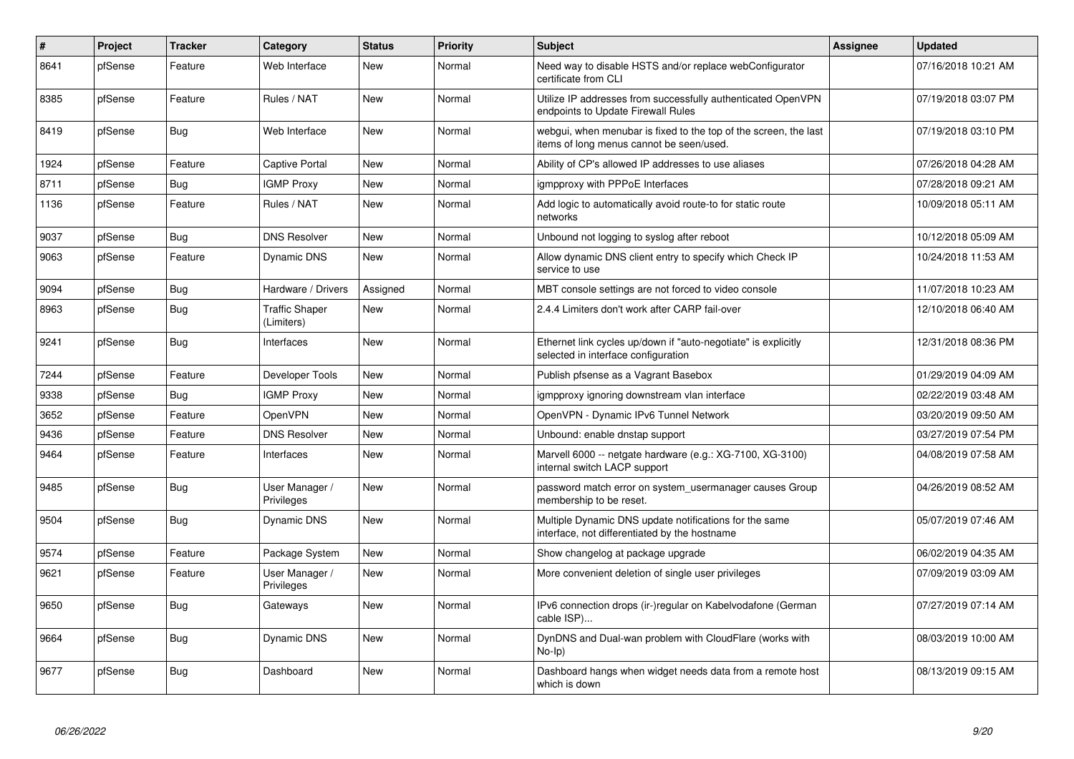| #    | Project | <b>Tracker</b> | Category                     | <b>Status</b> | Priority | <b>Subject</b>                                                                                               | Assignee | <b>Updated</b>      |
|------|---------|----------------|------------------------------|---------------|----------|--------------------------------------------------------------------------------------------------------------|----------|---------------------|
| 8641 | pfSense | Feature        | Web Interface                | <b>New</b>    | Normal   | Need way to disable HSTS and/or replace webConfigurator<br>certificate from CLI                              |          | 07/16/2018 10:21 AM |
| 8385 | pfSense | Feature        | Rules / NAT                  | <b>New</b>    | Normal   | Utilize IP addresses from successfully authenticated OpenVPN<br>endpoints to Update Firewall Rules           |          | 07/19/2018 03:07 PM |
| 8419 | pfSense | Bug            | Web Interface                | <b>New</b>    | Normal   | webgui, when menubar is fixed to the top of the screen, the last<br>items of long menus cannot be seen/used. |          | 07/19/2018 03:10 PM |
| 1924 | pfSense | Feature        | Captive Portal               | <b>New</b>    | Normal   | Ability of CP's allowed IP addresses to use aliases                                                          |          | 07/26/2018 04:28 AM |
| 8711 | pfSense | Bug            | <b>IGMP Proxy</b>            | New           | Normal   | igmpproxy with PPPoE Interfaces                                                                              |          | 07/28/2018 09:21 AM |
| 1136 | pfSense | Feature        | Rules / NAT                  | <b>New</b>    | Normal   | Add logic to automatically avoid route-to for static route<br>networks                                       |          | 10/09/2018 05:11 AM |
| 9037 | pfSense | Bug            | <b>DNS Resolver</b>          | <b>New</b>    | Normal   | Unbound not logging to syslog after reboot                                                                   |          | 10/12/2018 05:09 AM |
| 9063 | pfSense | Feature        | Dynamic DNS                  | <b>New</b>    | Normal   | Allow dynamic DNS client entry to specify which Check IP<br>service to use                                   |          | 10/24/2018 11:53 AM |
| 9094 | pfSense | <b>Bug</b>     | Hardware / Drivers           | Assigned      | Normal   | MBT console settings are not forced to video console                                                         |          | 11/07/2018 10:23 AM |
| 8963 | pfSense | <b>Bug</b>     | Traffic Shaper<br>(Limiters) | New           | Normal   | 2.4.4 Limiters don't work after CARP fail-over                                                               |          | 12/10/2018 06:40 AM |
| 9241 | pfSense | Bug            | Interfaces                   | <b>New</b>    | Normal   | Ethernet link cycles up/down if "auto-negotiate" is explicitly<br>selected in interface configuration        |          | 12/31/2018 08:36 PM |
| 7244 | pfSense | Feature        | Developer Tools              | <b>New</b>    | Normal   | Publish pfsense as a Vagrant Basebox                                                                         |          | 01/29/2019 04:09 AM |
| 9338 | pfSense | <b>Bug</b>     | <b>IGMP Proxy</b>            | <b>New</b>    | Normal   | igmpproxy ignoring downstream vlan interface                                                                 |          | 02/22/2019 03:48 AM |
| 3652 | pfSense | Feature        | OpenVPN                      | <b>New</b>    | Normal   | OpenVPN - Dynamic IPv6 Tunnel Network                                                                        |          | 03/20/2019 09:50 AM |
| 9436 | pfSense | Feature        | <b>DNS Resolver</b>          | <b>New</b>    | Normal   | Unbound: enable dnstap support                                                                               |          | 03/27/2019 07:54 PM |
| 9464 | pfSense | Feature        | Interfaces                   | <b>New</b>    | Normal   | Marvell 6000 -- netgate hardware (e.g.: XG-7100, XG-3100)<br>internal switch LACP support                    |          | 04/08/2019 07:58 AM |
| 9485 | pfSense | <b>Bug</b>     | User Manager /<br>Privileges | <b>New</b>    | Normal   | password match error on system_usermanager causes Group<br>membership to be reset.                           |          | 04/26/2019 08:52 AM |
| 9504 | pfSense | <b>Bug</b>     | Dynamic DNS                  | <b>New</b>    | Normal   | Multiple Dynamic DNS update notifications for the same<br>interface, not differentiated by the hostname      |          | 05/07/2019 07:46 AM |
| 9574 | pfSense | Feature        | Package System               | <b>New</b>    | Normal   | Show changelog at package upgrade                                                                            |          | 06/02/2019 04:35 AM |
| 9621 | pfSense | Feature        | User Manager /<br>Privileges | New           | Normal   | More convenient deletion of single user privileges                                                           |          | 07/09/2019 03:09 AM |
| 9650 | pfSense | Bug            | Gateways                     | New           | Normal   | IPv6 connection drops (ir-)regular on Kabelvodafone (German<br>cable ISP)                                    |          | 07/27/2019 07:14 AM |
| 9664 | pfSense | Bug            | Dynamic DNS                  | New           | Normal   | DynDNS and Dual-wan problem with CloudFlare (works with<br>$No-Ip)$                                          |          | 08/03/2019 10:00 AM |
| 9677 | pfSense | <b>Bug</b>     | Dashboard                    | <b>New</b>    | Normal   | Dashboard hangs when widget needs data from a remote host<br>which is down                                   |          | 08/13/2019 09:15 AM |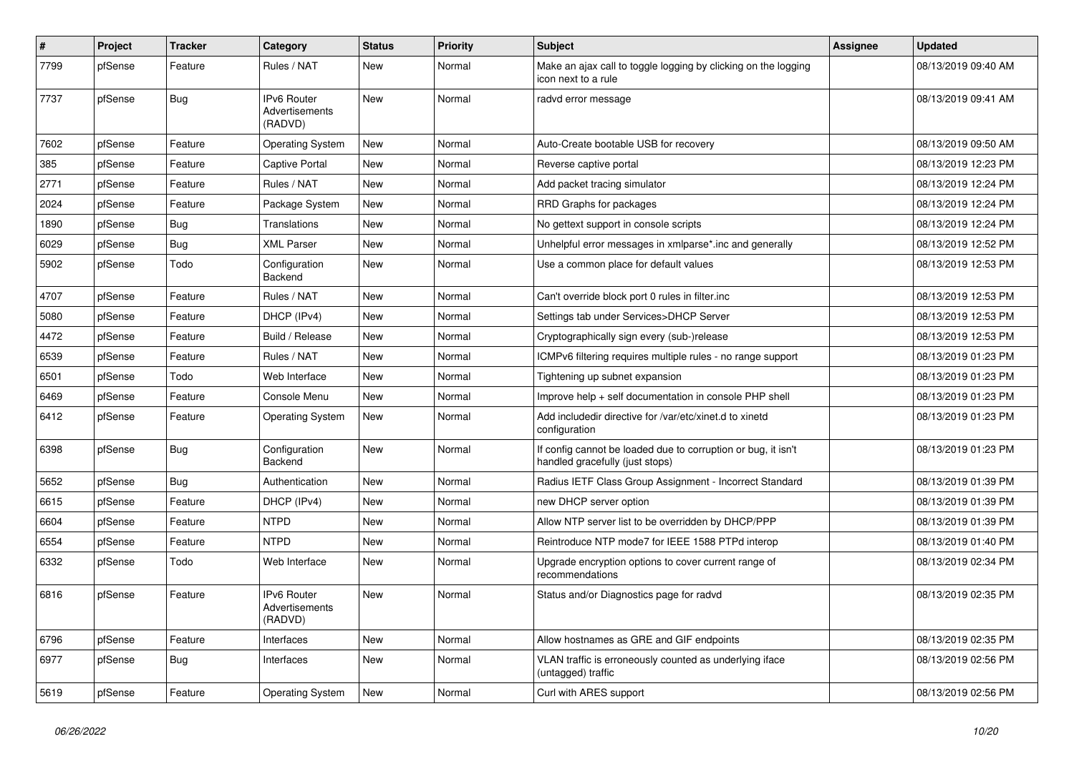| #    | Project | <b>Tracker</b> | Category                                        | <b>Status</b> | <b>Priority</b> | <b>Subject</b>                                                                                   | Assignee | <b>Updated</b>      |
|------|---------|----------------|-------------------------------------------------|---------------|-----------------|--------------------------------------------------------------------------------------------------|----------|---------------------|
| 7799 | pfSense | Feature        | Rules / NAT                                     | <b>New</b>    | Normal          | Make an ajax call to toggle logging by clicking on the logging<br>icon next to a rule            |          | 08/13/2019 09:40 AM |
| 7737 | pfSense | <b>Bug</b>     | <b>IPv6 Router</b><br>Advertisements<br>(RADVD) | <b>New</b>    | Normal          | radvd error message                                                                              |          | 08/13/2019 09:41 AM |
| 7602 | pfSense | Feature        | <b>Operating System</b>                         | <b>New</b>    | Normal          | Auto-Create bootable USB for recovery                                                            |          | 08/13/2019 09:50 AM |
| 385  | pfSense | Feature        | <b>Captive Portal</b>                           | <b>New</b>    | Normal          | Reverse captive portal                                                                           |          | 08/13/2019 12:23 PM |
| 2771 | pfSense | Feature        | Rules / NAT                                     | <b>New</b>    | Normal          | Add packet tracing simulator                                                                     |          | 08/13/2019 12:24 PM |
| 2024 | pfSense | Feature        | Package System                                  | <b>New</b>    | Normal          | RRD Graphs for packages                                                                          |          | 08/13/2019 12:24 PM |
| 1890 | pfSense | Bug            | <b>Translations</b>                             | <b>New</b>    | Normal          | No gettext support in console scripts                                                            |          | 08/13/2019 12:24 PM |
| 6029 | pfSense | Bug            | <b>XML Parser</b>                               | <b>New</b>    | Normal          | Unhelpful error messages in xmlparse*.inc and generally                                          |          | 08/13/2019 12:52 PM |
| 5902 | pfSense | Todo           | Configuration<br>Backend                        | <b>New</b>    | Normal          | Use a common place for default values                                                            |          | 08/13/2019 12:53 PM |
| 4707 | pfSense | Feature        | Rules / NAT                                     | <b>New</b>    | Normal          | Can't override block port 0 rules in filter.inc                                                  |          | 08/13/2019 12:53 PM |
| 5080 | pfSense | Feature        | DHCP (IPv4)                                     | <b>New</b>    | Normal          | Settings tab under Services>DHCP Server                                                          |          | 08/13/2019 12:53 PM |
| 4472 | pfSense | Feature        | Build / Release                                 | <b>New</b>    | Normal          | Cryptographically sign every (sub-)release                                                       |          | 08/13/2019 12:53 PM |
| 6539 | pfSense | Feature        | Rules / NAT                                     | <b>New</b>    | Normal          | ICMPv6 filtering requires multiple rules - no range support                                      |          | 08/13/2019 01:23 PM |
| 6501 | pfSense | Todo           | Web Interface                                   | <b>New</b>    | Normal          | Tightening up subnet expansion                                                                   |          | 08/13/2019 01:23 PM |
| 6469 | pfSense | Feature        | Console Menu                                    | <b>New</b>    | Normal          | Improve help + self documentation in console PHP shell                                           |          | 08/13/2019 01:23 PM |
| 6412 | pfSense | Feature        | <b>Operating System</b>                         | <b>New</b>    | Normal          | Add includedir directive for /var/etc/xinet.d to xinetd<br>configuration                         |          | 08/13/2019 01:23 PM |
| 6398 | pfSense | <b>Bug</b>     | Configuration<br>Backend                        | <b>New</b>    | Normal          | If config cannot be loaded due to corruption or bug, it isn't<br>handled gracefully (just stops) |          | 08/13/2019 01:23 PM |
| 5652 | pfSense | <b>Bug</b>     | Authentication                                  | <b>New</b>    | Normal          | Radius IETF Class Group Assignment - Incorrect Standard                                          |          | 08/13/2019 01:39 PM |
| 6615 | pfSense | Feature        | DHCP (IPv4)                                     | <b>New</b>    | Normal          | new DHCP server option                                                                           |          | 08/13/2019 01:39 PM |
| 6604 | pfSense | Feature        | <b>NTPD</b>                                     | <b>New</b>    | Normal          | Allow NTP server list to be overridden by DHCP/PPP                                               |          | 08/13/2019 01:39 PM |
| 6554 | pfSense | Feature        | <b>NTPD</b>                                     | <b>New</b>    | Normal          | Reintroduce NTP mode7 for IEEE 1588 PTPd interop                                                 |          | 08/13/2019 01:40 PM |
| 6332 | pfSense | Todo           | Web Interface                                   | <b>New</b>    | Normal          | Upgrade encryption options to cover current range of<br>recommendations                          |          | 08/13/2019 02:34 PM |
| 6816 | pfSense | Feature        | <b>IPv6 Router</b><br>Advertisements<br>(RADVD) | <b>New</b>    | Normal          | Status and/or Diagnostics page for radvd                                                         |          | 08/13/2019 02:35 PM |
| 6796 | pfSense | Feature        | Interfaces                                      | <b>New</b>    | Normal          | Allow hostnames as GRE and GIF endpoints                                                         |          | 08/13/2019 02:35 PM |
| 6977 | pfSense | Bug            | Interfaces                                      | <b>New</b>    | Normal          | VLAN traffic is erroneously counted as underlying iface<br>(untagged) traffic                    |          | 08/13/2019 02:56 PM |
| 5619 | pfSense | Feature        | <b>Operating System</b>                         | <b>New</b>    | Normal          | Curl with ARES support                                                                           |          | 08/13/2019 02:56 PM |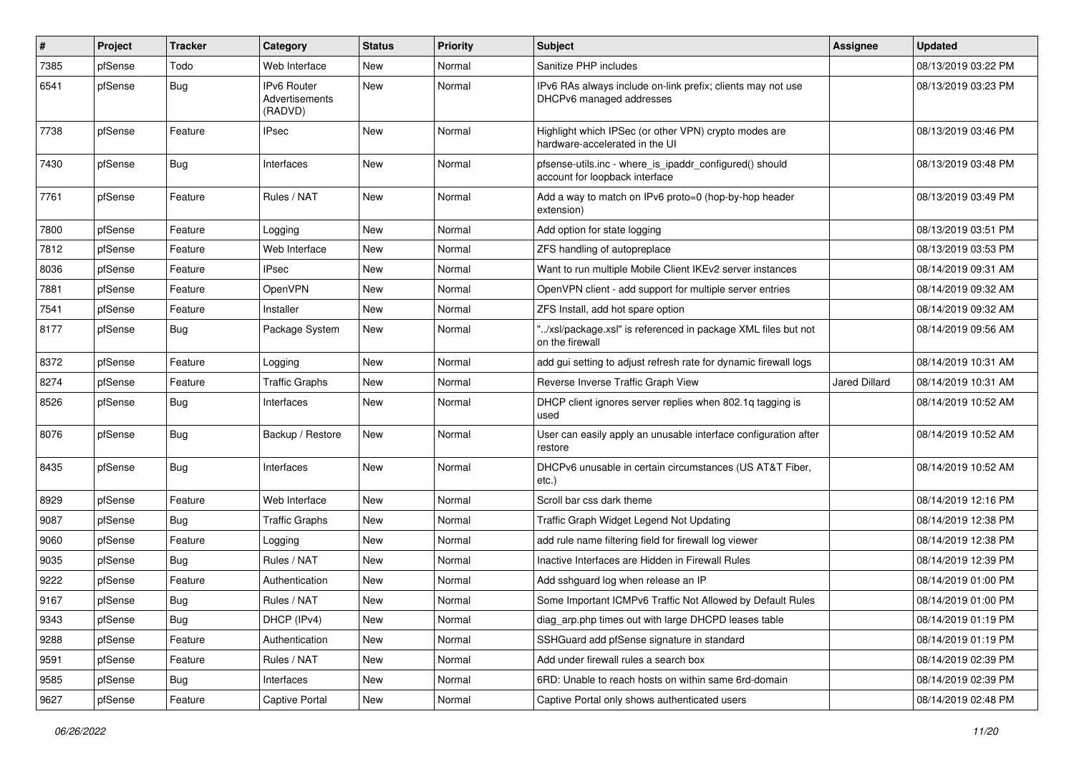| $\vert$ # | Project | <b>Tracker</b> | Category                                        | <b>Status</b> | <b>Priority</b> | Subject                                                                                   | Assignee             | <b>Updated</b>      |
|-----------|---------|----------------|-------------------------------------------------|---------------|-----------------|-------------------------------------------------------------------------------------------|----------------------|---------------------|
| 7385      | pfSense | Todo           | Web Interface                                   | New           | Normal          | Sanitize PHP includes                                                                     |                      | 08/13/2019 03:22 PM |
| 6541      | pfSense | <b>Bug</b>     | <b>IPv6 Router</b><br>Advertisements<br>(RADVD) | <b>New</b>    | Normal          | IPv6 RAs always include on-link prefix; clients may not use<br>DHCPv6 managed addresses   |                      | 08/13/2019 03:23 PM |
| 7738      | pfSense | Feature        | IPsec                                           | <b>New</b>    | Normal          | Highlight which IPSec (or other VPN) crypto modes are<br>hardware-accelerated in the UI   |                      | 08/13/2019 03:46 PM |
| 7430      | pfSense | Bug            | Interfaces                                      | <b>New</b>    | Normal          | pfsense-utils.inc - where_is_ipaddr_configured() should<br>account for loopback interface |                      | 08/13/2019 03:48 PM |
| 7761      | pfSense | Feature        | Rules / NAT                                     | <b>New</b>    | Normal          | Add a way to match on IPv6 proto=0 (hop-by-hop header<br>extension)                       |                      | 08/13/2019 03:49 PM |
| 7800      | pfSense | Feature        | Logging                                         | <b>New</b>    | Normal          | Add option for state logging                                                              |                      | 08/13/2019 03:51 PM |
| 7812      | pfSense | Feature        | Web Interface                                   | New           | Normal          | ZFS handling of autopreplace                                                              |                      | 08/13/2019 03:53 PM |
| 8036      | pfSense | Feature        | <b>IPsec</b>                                    | <b>New</b>    | Normal          | Want to run multiple Mobile Client IKEv2 server instances                                 |                      | 08/14/2019 09:31 AM |
| 7881      | pfSense | Feature        | OpenVPN                                         | New           | Normal          | OpenVPN client - add support for multiple server entries                                  |                      | 08/14/2019 09:32 AM |
| 7541      | pfSense | Feature        | Installer                                       | <b>New</b>    | Normal          | ZFS Install, add hot spare option                                                         |                      | 08/14/2019 09:32 AM |
| 8177      | pfSense | <b>Bug</b>     | Package System                                  | <b>New</b>    | Normal          | "/xsl/package.xsl" is referenced in package XML files but not<br>on the firewall          |                      | 08/14/2019 09:56 AM |
| 8372      | pfSense | Feature        | Logging                                         | <b>New</b>    | Normal          | add gui setting to adjust refresh rate for dynamic firewall logs                          |                      | 08/14/2019 10:31 AM |
| 8274      | pfSense | Feature        | <b>Traffic Graphs</b>                           | <b>New</b>    | Normal          | Reverse Inverse Traffic Graph View                                                        | <b>Jared Dillard</b> | 08/14/2019 10:31 AM |
| 8526      | pfSense | <b>Bug</b>     | Interfaces                                      | New           | Normal          | DHCP client ignores server replies when 802.1g tagging is<br>used                         |                      | 08/14/2019 10:52 AM |
| 8076      | pfSense | Bug            | Backup / Restore                                | New           | Normal          | User can easily apply an unusable interface configuration after<br>restore                |                      | 08/14/2019 10:52 AM |
| 8435      | pfSense | <b>Bug</b>     | Interfaces                                      | New           | Normal          | DHCPv6 unusable in certain circumstances (US AT&T Fiber,<br>$etc.$ )                      |                      | 08/14/2019 10:52 AM |
| 8929      | pfSense | Feature        | Web Interface                                   | <b>New</b>    | Normal          | Scroll bar css dark theme                                                                 |                      | 08/14/2019 12:16 PM |
| 9087      | pfSense | <b>Bug</b>     | <b>Traffic Graphs</b>                           | <b>New</b>    | Normal          | Traffic Graph Widget Legend Not Updating                                                  |                      | 08/14/2019 12:38 PM |
| 9060      | pfSense | Feature        | Logging                                         | New           | Normal          | add rule name filtering field for firewall log viewer                                     |                      | 08/14/2019 12:38 PM |
| 9035      | pfSense | <b>Bug</b>     | Rules / NAT                                     | <b>New</b>    | Normal          | Inactive Interfaces are Hidden in Firewall Rules                                          |                      | 08/14/2019 12:39 PM |
| 9222      | pfSense | Feature        | Authentication                                  | New           | Normal          | Add sshguard log when release an IP                                                       |                      | 08/14/2019 01:00 PM |
| 9167      | pfSense | Bug            | Rules / NAT                                     | <b>New</b>    | Normal          | Some Important ICMPv6 Traffic Not Allowed by Default Rules                                |                      | 08/14/2019 01:00 PM |
| 9343      | pfSense | <b>Bug</b>     | DHCP (IPv4)                                     | New           | Normal          | diag_arp.php times out with large DHCPD leases table                                      |                      | 08/14/2019 01:19 PM |
| 9288      | pfSense | Feature        | Authentication                                  | New           | Normal          | SSHGuard add pfSense signature in standard                                                |                      | 08/14/2019 01:19 PM |
| 9591      | pfSense | Feature        | Rules / NAT                                     | New           | Normal          | Add under firewall rules a search box                                                     |                      | 08/14/2019 02:39 PM |
| 9585      | pfSense | <b>Bug</b>     | Interfaces                                      | New           | Normal          | 6RD: Unable to reach hosts on within same 6rd-domain                                      |                      | 08/14/2019 02:39 PM |
| 9627      | pfSense | Feature        | Captive Portal                                  | New           | Normal          | Captive Portal only shows authenticated users                                             |                      | 08/14/2019 02:48 PM |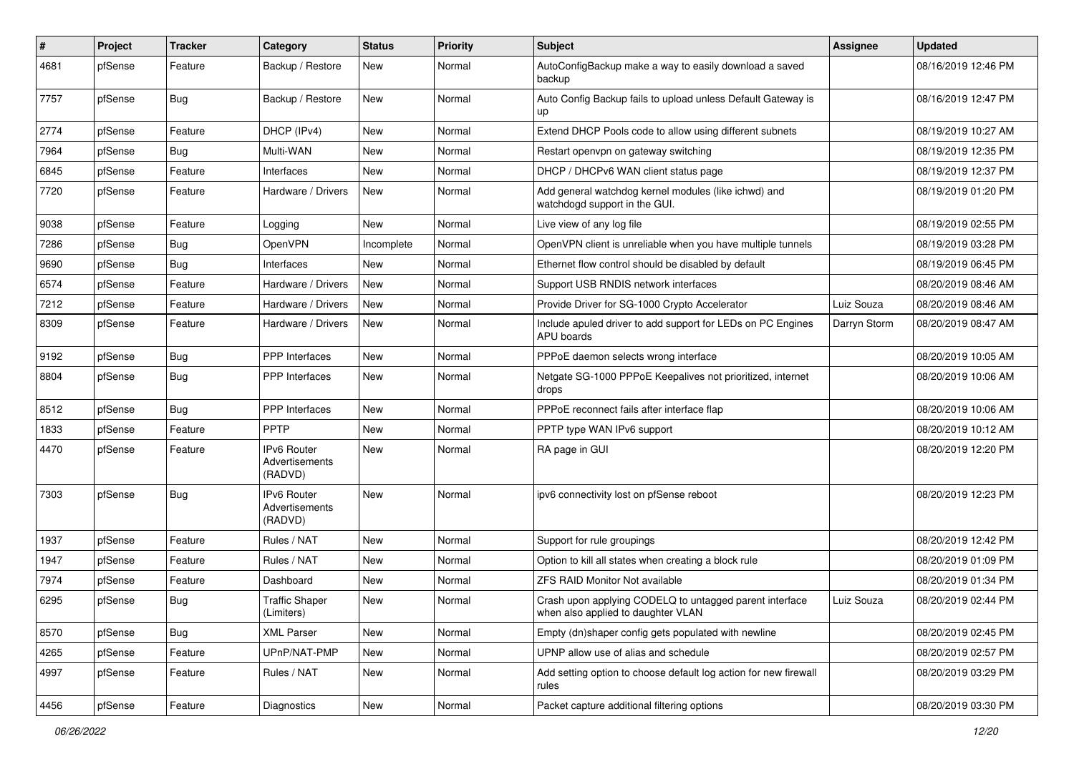| ∦    | Project | <b>Tracker</b> | Category                                        | <b>Status</b> | <b>Priority</b> | <b>Subject</b>                                                                                | Assignee     | <b>Updated</b>      |
|------|---------|----------------|-------------------------------------------------|---------------|-----------------|-----------------------------------------------------------------------------------------------|--------------|---------------------|
| 4681 | pfSense | Feature        | Backup / Restore                                | New           | Normal          | AutoConfigBackup make a way to easily download a saved<br>backup                              |              | 08/16/2019 12:46 PM |
| 7757 | pfSense | Bug            | Backup / Restore                                | New           | Normal          | Auto Config Backup fails to upload unless Default Gateway is<br>up                            |              | 08/16/2019 12:47 PM |
| 2774 | pfSense | Feature        | DHCP (IPv4)                                     | <b>New</b>    | Normal          | Extend DHCP Pools code to allow using different subnets                                       |              | 08/19/2019 10:27 AM |
| 7964 | pfSense | <b>Bug</b>     | Multi-WAN                                       | New           | Normal          | Restart openvpn on gateway switching                                                          |              | 08/19/2019 12:35 PM |
| 6845 | pfSense | Feature        | Interfaces                                      | <b>New</b>    | Normal          | DHCP / DHCPv6 WAN client status page                                                          |              | 08/19/2019 12:37 PM |
| 7720 | pfSense | Feature        | Hardware / Drivers                              | <b>New</b>    | Normal          | Add general watchdog kernel modules (like ichwd) and<br>watchdogd support in the GUI.         |              | 08/19/2019 01:20 PM |
| 9038 | pfSense | Feature        | Logging                                         | <b>New</b>    | Normal          | Live view of any log file                                                                     |              | 08/19/2019 02:55 PM |
| 7286 | pfSense | <b>Bug</b>     | OpenVPN                                         | Incomplete    | Normal          | OpenVPN client is unreliable when you have multiple tunnels                                   |              | 08/19/2019 03:28 PM |
| 9690 | pfSense | <b>Bug</b>     | Interfaces                                      | <b>New</b>    | Normal          | Ethernet flow control should be disabled by default                                           |              | 08/19/2019 06:45 PM |
| 6574 | pfSense | Feature        | Hardware / Drivers                              | New           | Normal          | Support USB RNDIS network interfaces                                                          |              | 08/20/2019 08:46 AM |
| 7212 | pfSense | Feature        | Hardware / Drivers                              | <b>New</b>    | Normal          | Provide Driver for SG-1000 Crypto Accelerator                                                 | Luiz Souza   | 08/20/2019 08:46 AM |
| 8309 | pfSense | Feature        | Hardware / Drivers                              | New           | Normal          | Include apuled driver to add support for LEDs on PC Engines<br>APU boards                     | Darryn Storm | 08/20/2019 08:47 AM |
| 9192 | pfSense | Bug            | <b>PPP</b> Interfaces                           | <b>New</b>    | Normal          | PPPoE daemon selects wrong interface                                                          |              | 08/20/2019 10:05 AM |
| 8804 | pfSense | <b>Bug</b>     | PPP Interfaces                                  | <b>New</b>    | Normal          | Netgate SG-1000 PPPoE Keepalives not prioritized, internet<br>drops                           |              | 08/20/2019 10:06 AM |
| 8512 | pfSense | <b>Bug</b>     | PPP Interfaces                                  | <b>New</b>    | Normal          | PPPoE reconnect fails after interface flap                                                    |              | 08/20/2019 10:06 AM |
| 1833 | pfSense | Feature        | PPTP                                            | <b>New</b>    | Normal          | PPTP type WAN IPv6 support                                                                    |              | 08/20/2019 10:12 AM |
| 4470 | pfSense | Feature        | <b>IPv6 Router</b><br>Advertisements<br>(RADVD) | New           | Normal          | RA page in GUI                                                                                |              | 08/20/2019 12:20 PM |
| 7303 | pfSense | <b>Bug</b>     | <b>IPv6 Router</b><br>Advertisements<br>(RADVD) | <b>New</b>    | Normal          | ipv6 connectivity lost on pfSense reboot                                                      |              | 08/20/2019 12:23 PM |
| 1937 | pfSense | Feature        | Rules / NAT                                     | <b>New</b>    | Normal          | Support for rule groupings                                                                    |              | 08/20/2019 12:42 PM |
| 1947 | pfSense | Feature        | Rules / NAT                                     | <b>New</b>    | Normal          | Option to kill all states when creating a block rule                                          |              | 08/20/2019 01:09 PM |
| 7974 | pfSense | Feature        | Dashboard                                       | New           | Normal          | <b>ZFS RAID Monitor Not available</b>                                                         |              | 08/20/2019 01:34 PM |
| 6295 | pfSense | Bug            | <b>Traffic Shaper</b><br>(Limiters)             | New           | Normal          | Crash upon applying CODELQ to untagged parent interface<br>when also applied to daughter VLAN | Luiz Souza   | 08/20/2019 02:44 PM |
| 8570 | pfSense | <b>Bug</b>     | <b>XML Parser</b>                               | New           | Normal          | Empty (dn)shaper config gets populated with newline                                           |              | 08/20/2019 02:45 PM |
| 4265 | pfSense | Feature        | UPnP/NAT-PMP                                    | New           | Normal          | UPNP allow use of alias and schedule                                                          |              | 08/20/2019 02:57 PM |
| 4997 | pfSense | Feature        | Rules / NAT                                     | New           | Normal          | Add setting option to choose default log action for new firewall<br>rules                     |              | 08/20/2019 03:29 PM |
| 4456 | pfSense | Feature        | Diagnostics                                     | New           | Normal          | Packet capture additional filtering options                                                   |              | 08/20/2019 03:30 PM |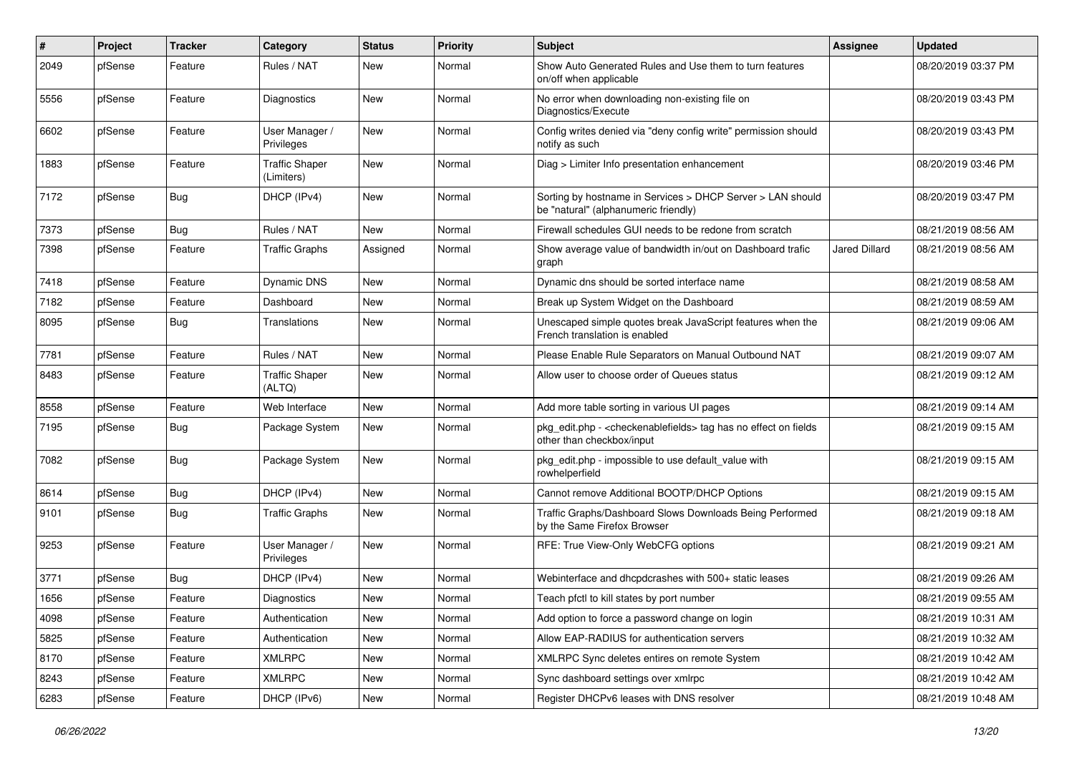| ∦    | Project | Tracker    | Category                            | <b>Status</b> | <b>Priority</b> | Subject                                                                                                          | Assignee             | <b>Updated</b>      |
|------|---------|------------|-------------------------------------|---------------|-----------------|------------------------------------------------------------------------------------------------------------------|----------------------|---------------------|
| 2049 | pfSense | Feature    | Rules / NAT                         | <b>New</b>    | Normal          | Show Auto Generated Rules and Use them to turn features<br>on/off when applicable                                |                      | 08/20/2019 03:37 PM |
| 5556 | pfSense | Feature    | Diagnostics                         | <b>New</b>    | Normal          | No error when downloading non-existing file on<br>Diagnostics/Execute                                            |                      | 08/20/2019 03:43 PM |
| 6602 | pfSense | Feature    | User Manager /<br>Privileges        | <b>New</b>    | Normal          | Config writes denied via "deny config write" permission should<br>notify as such                                 |                      | 08/20/2019 03:43 PM |
| 1883 | pfSense | Feature    | <b>Traffic Shaper</b><br>(Limiters) | <b>New</b>    | Normal          | Diag > Limiter Info presentation enhancement                                                                     |                      | 08/20/2019 03:46 PM |
| 7172 | pfSense | <b>Bug</b> | DHCP (IPv4)                         | <b>New</b>    | Normal          | Sorting by hostname in Services > DHCP Server > LAN should<br>be "natural" (alphanumeric friendly)               |                      | 08/20/2019 03:47 PM |
| 7373 | pfSense | Bug        | Rules / NAT                         | <b>New</b>    | Normal          | Firewall schedules GUI needs to be redone from scratch                                                           |                      | 08/21/2019 08:56 AM |
| 7398 | pfSense | Feature    | <b>Traffic Graphs</b>               | Assigned      | Normal          | Show average value of bandwidth in/out on Dashboard trafic<br>graph                                              | <b>Jared Dillard</b> | 08/21/2019 08:56 AM |
| 7418 | pfSense | Feature    | Dynamic DNS                         | <b>New</b>    | Normal          | Dynamic dns should be sorted interface name                                                                      |                      | 08/21/2019 08:58 AM |
| 7182 | pfSense | Feature    | Dashboard                           | <b>New</b>    | Normal          | Break up System Widget on the Dashboard                                                                          |                      | 08/21/2019 08:59 AM |
| 8095 | pfSense | <b>Bug</b> | Translations                        | <b>New</b>    | Normal          | Unescaped simple quotes break JavaScript features when the<br>French translation is enabled                      |                      | 08/21/2019 09:06 AM |
| 7781 | pfSense | Feature    | Rules / NAT                         | <b>New</b>    | Normal          | Please Enable Rule Separators on Manual Outbound NAT                                                             |                      | 08/21/2019 09:07 AM |
| 8483 | pfSense | Feature    | Traffic Shaper<br>(ALTQ)            | <b>New</b>    | Normal          | Allow user to choose order of Queues status                                                                      |                      | 08/21/2019 09:12 AM |
| 8558 | pfSense | Feature    | Web Interface                       | <b>New</b>    | Normal          | Add more table sorting in various UI pages                                                                       |                      | 08/21/2019 09:14 AM |
| 7195 | pfSense | Bug        | Package System                      | <b>New</b>    | Normal          | pkg_edit.php - <checkenablefields> tag has no effect on fields<br/>other than checkbox/input</checkenablefields> |                      | 08/21/2019 09:15 AM |
| 7082 | pfSense | <b>Bug</b> | Package System                      | <b>New</b>    | Normal          | pkg_edit.php - impossible to use default_value with<br>rowhelperfield                                            |                      | 08/21/2019 09:15 AM |
| 8614 | pfSense | <b>Bug</b> | DHCP (IPv4)                         | <b>New</b>    | Normal          | Cannot remove Additional BOOTP/DHCP Options                                                                      |                      | 08/21/2019 09:15 AM |
| 9101 | pfSense | <b>Bug</b> | <b>Traffic Graphs</b>               | <b>New</b>    | Normal          | Traffic Graphs/Dashboard Slows Downloads Being Performed<br>by the Same Firefox Browser                          |                      | 08/21/2019 09:18 AM |
| 9253 | pfSense | Feature    | User Manager /<br>Privileges        | <b>New</b>    | Normal          | RFE: True View-Only WebCFG options                                                                               |                      | 08/21/2019 09:21 AM |
| 3771 | pfSense | <b>Bug</b> | DHCP (IPv4)                         | <b>New</b>    | Normal          | Webinterface and dhcpdcrashes with 500+ static leases                                                            |                      | 08/21/2019 09:26 AM |
| 1656 | pfSense | Feature    | Diagnostics                         | <b>New</b>    | Normal          | Teach pfctl to kill states by port number                                                                        |                      | 08/21/2019 09:55 AM |
| 4098 | pfSense | Feature    | Authentication                      | New           | Normal          | Add option to force a password change on login                                                                   |                      | 08/21/2019 10:31 AM |
| 5825 | pfSense | Feature    | Authentication                      | New           | Normal          | Allow EAP-RADIUS for authentication servers                                                                      |                      | 08/21/2019 10:32 AM |
| 8170 | pfSense | Feature    | <b>XMLRPC</b>                       | New           | Normal          | XMLRPC Sync deletes entires on remote System                                                                     |                      | 08/21/2019 10:42 AM |
| 8243 | pfSense | Feature    | <b>XMLRPC</b>                       | New           | Normal          | Sync dashboard settings over xmlrpc                                                                              |                      | 08/21/2019 10:42 AM |
| 6283 | pfSense | Feature    | DHCP (IPv6)                         | New           | Normal          | Register DHCPv6 leases with DNS resolver                                                                         |                      | 08/21/2019 10:48 AM |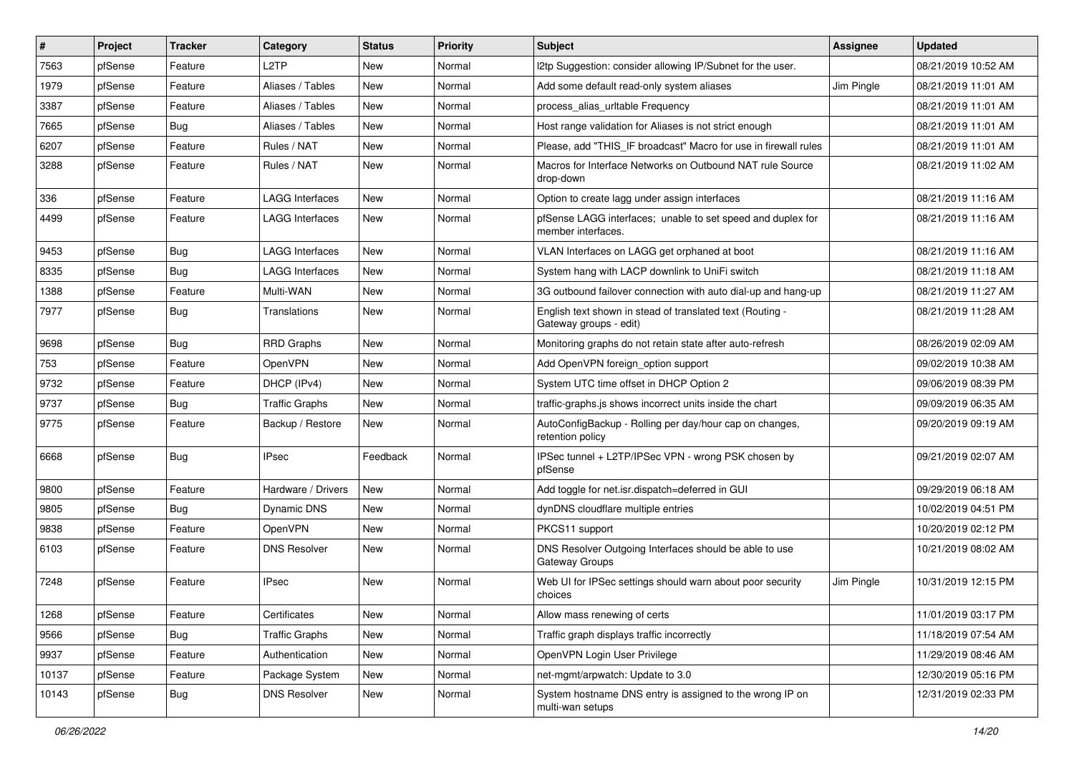| $\sharp$ | Project | <b>Tracker</b> | Category               | <b>Status</b> | <b>Priority</b> | <b>Subject</b>                                                                      | <b>Assignee</b> | <b>Updated</b>      |
|----------|---------|----------------|------------------------|---------------|-----------------|-------------------------------------------------------------------------------------|-----------------|---------------------|
| 7563     | pfSense | Feature        | L <sub>2</sub> TP      | <b>New</b>    | Normal          | I2tp Suggestion: consider allowing IP/Subnet for the user.                          |                 | 08/21/2019 10:52 AM |
| 1979     | pfSense | Feature        | Aliases / Tables       | New           | Normal          | Add some default read-only system aliases                                           | Jim Pingle      | 08/21/2019 11:01 AM |
| 3387     | pfSense | Feature        | Aliases / Tables       | <b>New</b>    | Normal          | process alias urltable Frequency                                                    |                 | 08/21/2019 11:01 AM |
| 7665     | pfSense | <b>Bug</b>     | Aliases / Tables       | <b>New</b>    | Normal          | Host range validation for Aliases is not strict enough                              |                 | 08/21/2019 11:01 AM |
| 6207     | pfSense | Feature        | Rules / NAT            | <b>New</b>    | Normal          | Please, add "THIS_IF broadcast" Macro for use in firewall rules                     |                 | 08/21/2019 11:01 AM |
| 3288     | pfSense | Feature        | Rules / NAT            | <b>New</b>    | Normal          | Macros for Interface Networks on Outbound NAT rule Source<br>drop-down              |                 | 08/21/2019 11:02 AM |
| 336      | pfSense | Feature        | <b>LAGG Interfaces</b> | <b>New</b>    | Normal          | Option to create lagg under assign interfaces                                       |                 | 08/21/2019 11:16 AM |
| 4499     | pfSense | Feature        | LAGG Interfaces        | New           | Normal          | pfSense LAGG interfaces; unable to set speed and duplex for<br>member interfaces.   |                 | 08/21/2019 11:16 AM |
| 9453     | pfSense | <b>Bug</b>     | <b>LAGG Interfaces</b> | <b>New</b>    | Normal          | VLAN Interfaces on LAGG get orphaned at boot                                        |                 | 08/21/2019 11:16 AM |
| 8335     | pfSense | <b>Bug</b>     | LAGG Interfaces        | <b>New</b>    | Normal          | System hang with LACP downlink to UniFi switch                                      |                 | 08/21/2019 11:18 AM |
| 1388     | pfSense | Feature        | Multi-WAN              | <b>New</b>    | Normal          | 3G outbound failover connection with auto dial-up and hang-up                       |                 | 08/21/2019 11:27 AM |
| 7977     | pfSense | <b>Bug</b>     | Translations           | New           | Normal          | English text shown in stead of translated text (Routing -<br>Gateway groups - edit) |                 | 08/21/2019 11:28 AM |
| 9698     | pfSense | <b>Bug</b>     | <b>RRD Graphs</b>      | <b>New</b>    | Normal          | Monitoring graphs do not retain state after auto-refresh                            |                 | 08/26/2019 02:09 AM |
| 753      | pfSense | Feature        | OpenVPN                | New           | Normal          | Add OpenVPN foreign option support                                                  |                 | 09/02/2019 10:38 AM |
| 9732     | pfSense | Feature        | DHCP (IPv4)            | <b>New</b>    | Normal          | System UTC time offset in DHCP Option 2                                             |                 | 09/06/2019 08:39 PM |
| 9737     | pfSense | <b>Bug</b>     | <b>Traffic Graphs</b>  | New           | Normal          | traffic-graphs.js shows incorrect units inside the chart                            |                 | 09/09/2019 06:35 AM |
| 9775     | pfSense | Feature        | Backup / Restore       | New           | Normal          | AutoConfigBackup - Rolling per day/hour cap on changes,<br>retention policy         |                 | 09/20/2019 09:19 AM |
| 6668     | pfSense | <b>Bug</b>     | IPsec                  | Feedback      | Normal          | IPSec tunnel + L2TP/IPSec VPN - wrong PSK chosen by<br>pfSense                      |                 | 09/21/2019 02:07 AM |
| 9800     | pfSense | Feature        | Hardware / Drivers     | New           | Normal          | Add toggle for net.isr.dispatch=deferred in GUI                                     |                 | 09/29/2019 06:18 AM |
| 9805     | pfSense | <b>Bug</b>     | Dynamic DNS            | New           | Normal          | dynDNS cloudflare multiple entries                                                  |                 | 10/02/2019 04:51 PM |
| 9838     | pfSense | Feature        | OpenVPN                | <b>New</b>    | Normal          | PKCS11 support                                                                      |                 | 10/20/2019 02:12 PM |
| 6103     | pfSense | Feature        | <b>DNS Resolver</b>    | New           | Normal          | DNS Resolver Outgoing Interfaces should be able to use<br>Gateway Groups            |                 | 10/21/2019 08:02 AM |
| 7248     | pfSense | Feature        | <b>IPsec</b>           | <b>New</b>    | Normal          | Web UI for IPSec settings should warn about poor security<br>choices                | Jim Pingle      | 10/31/2019 12:15 PM |
| 1268     | pfSense | Feature        | Certificates           | New           | Normal          | Allow mass renewing of certs                                                        |                 | 11/01/2019 03:17 PM |
| 9566     | pfSense | Bug            | <b>Traffic Graphs</b>  | <b>New</b>    | Normal          | Traffic graph displays traffic incorrectly                                          |                 | 11/18/2019 07:54 AM |
| 9937     | pfSense | Feature        | Authentication         | New           | Normal          | OpenVPN Login User Privilege                                                        |                 | 11/29/2019 08:46 AM |
| 10137    | pfSense | Feature        | Package System         | New           | Normal          | net-mgmt/arpwatch: Update to 3.0                                                    |                 | 12/30/2019 05:16 PM |
| 10143    | pfSense | <b>Bug</b>     | <b>DNS Resolver</b>    | New           | Normal          | System hostname DNS entry is assigned to the wrong IP on<br>multi-wan setups        |                 | 12/31/2019 02:33 PM |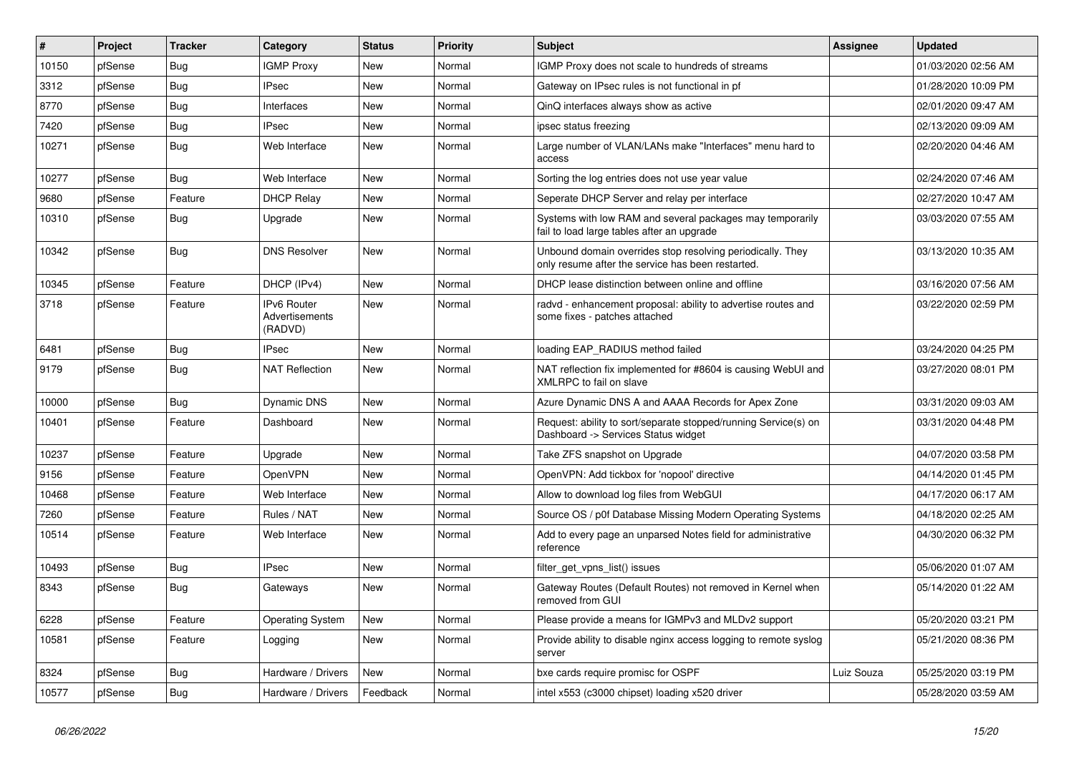| #     | Project | <b>Tracker</b> | Category                                        | <b>Status</b> | <b>Priority</b> | Subject                                                                                                         | Assignee   | <b>Updated</b>      |
|-------|---------|----------------|-------------------------------------------------|---------------|-----------------|-----------------------------------------------------------------------------------------------------------------|------------|---------------------|
| 10150 | pfSense | Bug            | <b>IGMP Proxy</b>                               | New           | Normal          | IGMP Proxy does not scale to hundreds of streams                                                                |            | 01/03/2020 02:56 AM |
| 3312  | pfSense | <b>Bug</b>     | <b>IPsec</b>                                    | <b>New</b>    | Normal          | Gateway on IPsec rules is not functional in pf                                                                  |            | 01/28/2020 10:09 PM |
| 8770  | pfSense | Bug            | Interfaces                                      | New           | Normal          | QinQ interfaces always show as active                                                                           |            | 02/01/2020 09:47 AM |
| 7420  | pfSense | <b>Bug</b>     | <b>IPsec</b>                                    | <b>New</b>    | Normal          | ipsec status freezing                                                                                           |            | 02/13/2020 09:09 AM |
| 10271 | pfSense | <b>Bug</b>     | Web Interface                                   | <b>New</b>    | Normal          | Large number of VLAN/LANs make "Interfaces" menu hard to<br>access                                              |            | 02/20/2020 04:46 AM |
| 10277 | pfSense | <b>Bug</b>     | Web Interface                                   | <b>New</b>    | Normal          | Sorting the log entries does not use year value                                                                 |            | 02/24/2020 07:46 AM |
| 9680  | pfSense | Feature        | <b>DHCP Relay</b>                               | <b>New</b>    | Normal          | Seperate DHCP Server and relay per interface                                                                    |            | 02/27/2020 10:47 AM |
| 10310 | pfSense | Bug            | Upgrade                                         | New           | Normal          | Systems with low RAM and several packages may temporarily<br>fail to load large tables after an upgrade         |            | 03/03/2020 07:55 AM |
| 10342 | pfSense | Bug            | <b>DNS Resolver</b>                             | New           | Normal          | Unbound domain overrides stop resolving periodically. They<br>only resume after the service has been restarted. |            | 03/13/2020 10:35 AM |
| 10345 | pfSense | Feature        | DHCP (IPv4)                                     | <b>New</b>    | Normal          | DHCP lease distinction between online and offline                                                               |            | 03/16/2020 07:56 AM |
| 3718  | pfSense | Feature        | <b>IPv6 Router</b><br>Advertisements<br>(RADVD) | <b>New</b>    | Normal          | radvd - enhancement proposal: ability to advertise routes and<br>some fixes - patches attached                  |            | 03/22/2020 02:59 PM |
| 6481  | pfSense | Bug            | <b>IPsec</b>                                    | <b>New</b>    | Normal          | loading EAP RADIUS method failed                                                                                |            | 03/24/2020 04:25 PM |
| 9179  | pfSense | <b>Bug</b>     | <b>NAT Reflection</b>                           | New           | Normal          | NAT reflection fix implemented for #8604 is causing WebUI and<br>XMLRPC to fail on slave                        |            | 03/27/2020 08:01 PM |
| 10000 | pfSense | Bug            | Dynamic DNS                                     | <b>New</b>    | Normal          | Azure Dynamic DNS A and AAAA Records for Apex Zone                                                              |            | 03/31/2020 09:03 AM |
| 10401 | pfSense | Feature        | Dashboard                                       | <b>New</b>    | Normal          | Request: ability to sort/separate stopped/running Service(s) on<br>Dashboard -> Services Status widget          |            | 03/31/2020 04:48 PM |
| 10237 | pfSense | Feature        | Upgrade                                         | <b>New</b>    | Normal          | Take ZFS snapshot on Upgrade                                                                                    |            | 04/07/2020 03:58 PM |
| 9156  | pfSense | Feature        | OpenVPN                                         | <b>New</b>    | Normal          | OpenVPN: Add tickbox for 'nopool' directive                                                                     |            | 04/14/2020 01:45 PM |
| 10468 | pfSense | Feature        | Web Interface                                   | New           | Normal          | Allow to download log files from WebGUI                                                                         |            | 04/17/2020 06:17 AM |
| 7260  | pfSense | Feature        | Rules / NAT                                     | <b>New</b>    | Normal          | Source OS / p0f Database Missing Modern Operating Systems                                                       |            | 04/18/2020 02:25 AM |
| 10514 | pfSense | Feature        | Web Interface                                   | <b>New</b>    | Normal          | Add to every page an unparsed Notes field for administrative<br>reference                                       |            | 04/30/2020 06:32 PM |
| 10493 | pfSense | <b>Bug</b>     | <b>IPsec</b>                                    | <b>New</b>    | Normal          | filter_get_vpns_list() issues                                                                                   |            | 05/06/2020 01:07 AM |
| 8343  | pfSense | <b>Bug</b>     | Gateways                                        | New           | Normal          | Gateway Routes (Default Routes) not removed in Kernel when<br>removed from GUI                                  |            | 05/14/2020 01:22 AM |
| 6228  | pfSense | Feature        | <b>Operating System</b>                         | New           | Normal          | Please provide a means for IGMPv3 and MLDv2 support                                                             |            | 05/20/2020 03:21 PM |
| 10581 | pfSense | Feature        | Logging                                         | New           | Normal          | Provide ability to disable nginx access logging to remote syslog<br>server                                      |            | 05/21/2020 08:36 PM |
| 8324  | pfSense | Bug            | Hardware / Drivers                              | New           | Normal          | bxe cards require promisc for OSPF                                                                              | Luiz Souza | 05/25/2020 03:19 PM |
| 10577 | pfSense | Bug            | Hardware / Drivers                              | Feedback      | Normal          | intel x553 (c3000 chipset) loading x520 driver                                                                  |            | 05/28/2020 03:59 AM |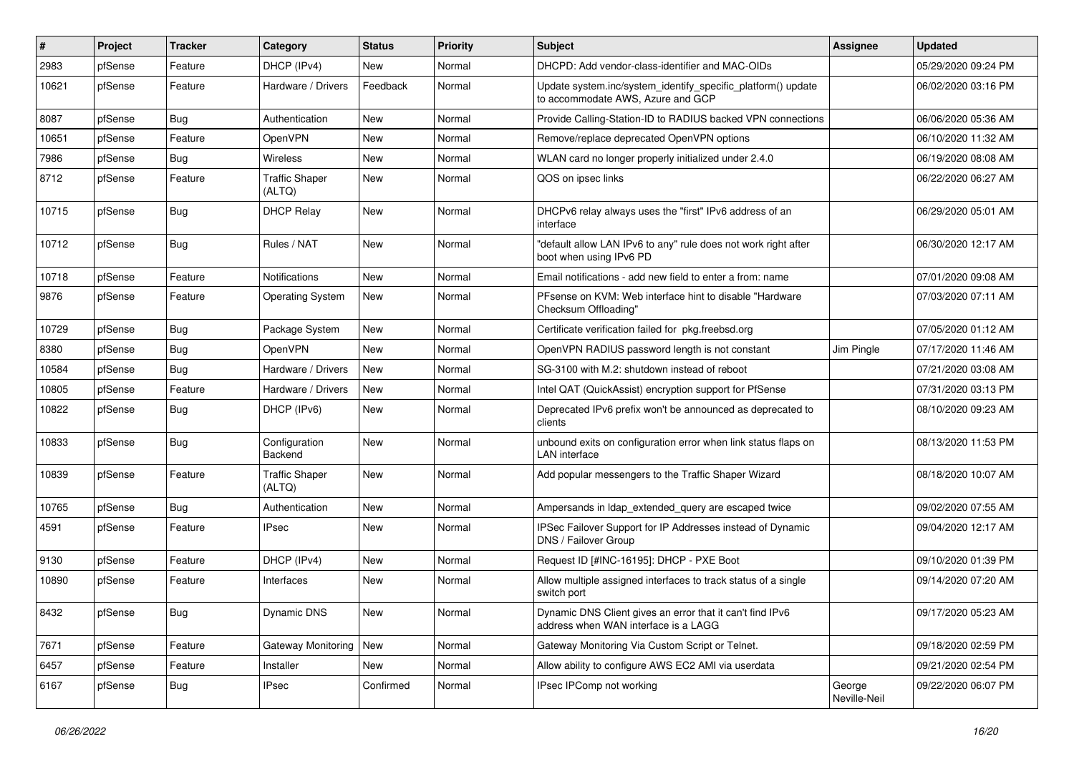| #     | Project | <b>Tracker</b> | Category                        | <b>Status</b> | <b>Priority</b> | Subject                                                                                           | Assignee               | <b>Updated</b>      |
|-------|---------|----------------|---------------------------------|---------------|-----------------|---------------------------------------------------------------------------------------------------|------------------------|---------------------|
| 2983  | pfSense | Feature        | DHCP (IPv4)                     | New           | Normal          | DHCPD: Add vendor-class-identifier and MAC-OIDs                                                   |                        | 05/29/2020 09:24 PM |
| 10621 | pfSense | Feature        | Hardware / Drivers              | Feedback      | Normal          | Update system.inc/system_identify_specific_platform() update<br>to accommodate AWS, Azure and GCP |                        | 06/02/2020 03:16 PM |
| 8087  | pfSense | <b>Bug</b>     | Authentication                  | <b>New</b>    | Normal          | Provide Calling-Station-ID to RADIUS backed VPN connections                                       |                        | 06/06/2020 05:36 AM |
| 10651 | pfSense | Feature        | OpenVPN                         | <b>New</b>    | Normal          | Remove/replace deprecated OpenVPN options                                                         |                        | 06/10/2020 11:32 AM |
| 7986  | pfSense | <b>Bug</b>     | <b>Wireless</b>                 | <b>New</b>    | Normal          | WLAN card no longer properly initialized under 2.4.0                                              |                        | 06/19/2020 08:08 AM |
| 8712  | pfSense | Feature        | <b>Traffic Shaper</b><br>(ALTQ) | New           | Normal          | QOS on ipsec links                                                                                |                        | 06/22/2020 06:27 AM |
| 10715 | pfSense | Bug            | <b>DHCP Relay</b>               | <b>New</b>    | Normal          | DHCPv6 relay always uses the "first" IPv6 address of an<br>interface                              |                        | 06/29/2020 05:01 AM |
| 10712 | pfSense | <b>Bug</b>     | Rules / NAT                     | <b>New</b>    | Normal          | "default allow LAN IPv6 to any" rule does not work right after<br>boot when using IPv6 PD         |                        | 06/30/2020 12:17 AM |
| 10718 | pfSense | Feature        | <b>Notifications</b>            | <b>New</b>    | Normal          | Email notifications - add new field to enter a from: name                                         |                        | 07/01/2020 09:08 AM |
| 9876  | pfSense | Feature        | <b>Operating System</b>         | New           | Normal          | PFsense on KVM: Web interface hint to disable "Hardware"<br>Checksum Offloading"                  |                        | 07/03/2020 07:11 AM |
| 10729 | pfSense | Bug            | Package System                  | <b>New</b>    | Normal          | Certificate verification failed for pkg.freebsd.org                                               |                        | 07/05/2020 01:12 AM |
| 8380  | pfSense | <b>Bug</b>     | OpenVPN                         | <b>New</b>    | Normal          | OpenVPN RADIUS password length is not constant                                                    | Jim Pingle             | 07/17/2020 11:46 AM |
| 10584 | pfSense | <b>Bug</b>     | Hardware / Drivers              | <b>New</b>    | Normal          | SG-3100 with M.2: shutdown instead of reboot                                                      |                        | 07/21/2020 03:08 AM |
| 10805 | pfSense | Feature        | Hardware / Drivers              | <b>New</b>    | Normal          | Intel QAT (QuickAssist) encryption support for PfSense                                            |                        | 07/31/2020 03:13 PM |
| 10822 | pfSense | <b>Bug</b>     | DHCP (IPv6)                     | <b>New</b>    | Normal          | Deprecated IPv6 prefix won't be announced as deprecated to<br>clients                             |                        | 08/10/2020 09:23 AM |
| 10833 | pfSense | Bug            | Configuration<br>Backend        | <b>New</b>    | Normal          | unbound exits on configuration error when link status flaps on<br><b>LAN</b> interface            |                        | 08/13/2020 11:53 PM |
| 10839 | pfSense | Feature        | <b>Traffic Shaper</b><br>(ALTQ) | <b>New</b>    | Normal          | Add popular messengers to the Traffic Shaper Wizard                                               |                        | 08/18/2020 10:07 AM |
| 10765 | pfSense | <b>Bug</b>     | Authentication                  | <b>New</b>    | Normal          | Ampersands in Idap extended query are escaped twice                                               |                        | 09/02/2020 07:55 AM |
| 4591  | pfSense | Feature        | <b>IPsec</b>                    | <b>New</b>    | Normal          | IPSec Failover Support for IP Addresses instead of Dynamic<br>DNS / Failover Group                |                        | 09/04/2020 12:17 AM |
| 9130  | pfSense | Feature        | DHCP (IPv4)                     | <b>New</b>    | Normal          | Request ID [#INC-16195]: DHCP - PXE Boot                                                          |                        | 09/10/2020 01:39 PM |
| 10890 | pfSense | Feature        | Interfaces                      | <b>New</b>    | Normal          | Allow multiple assigned interfaces to track status of a single<br>switch port                     |                        | 09/14/2020 07:20 AM |
| 8432  | pfSense | Bug            | Dynamic DNS                     | New           | Normal          | Dynamic DNS Client gives an error that it can't find IPv6<br>address when WAN interface is a LAGG |                        | 09/17/2020 05:23 AM |
| 7671  | pfSense | Feature        | <b>Gateway Monitoring</b>       | New           | Normal          | Gateway Monitoring Via Custom Script or Telnet.                                                   |                        | 09/18/2020 02:59 PM |
| 6457  | pfSense | Feature        | Installer                       | New           | Normal          | Allow ability to configure AWS EC2 AMI via userdata                                               |                        | 09/21/2020 02:54 PM |
| 6167  | pfSense | Bug            | <b>IPsec</b>                    | Confirmed     | Normal          | IPsec IPComp not working                                                                          | George<br>Neville-Neil | 09/22/2020 06:07 PM |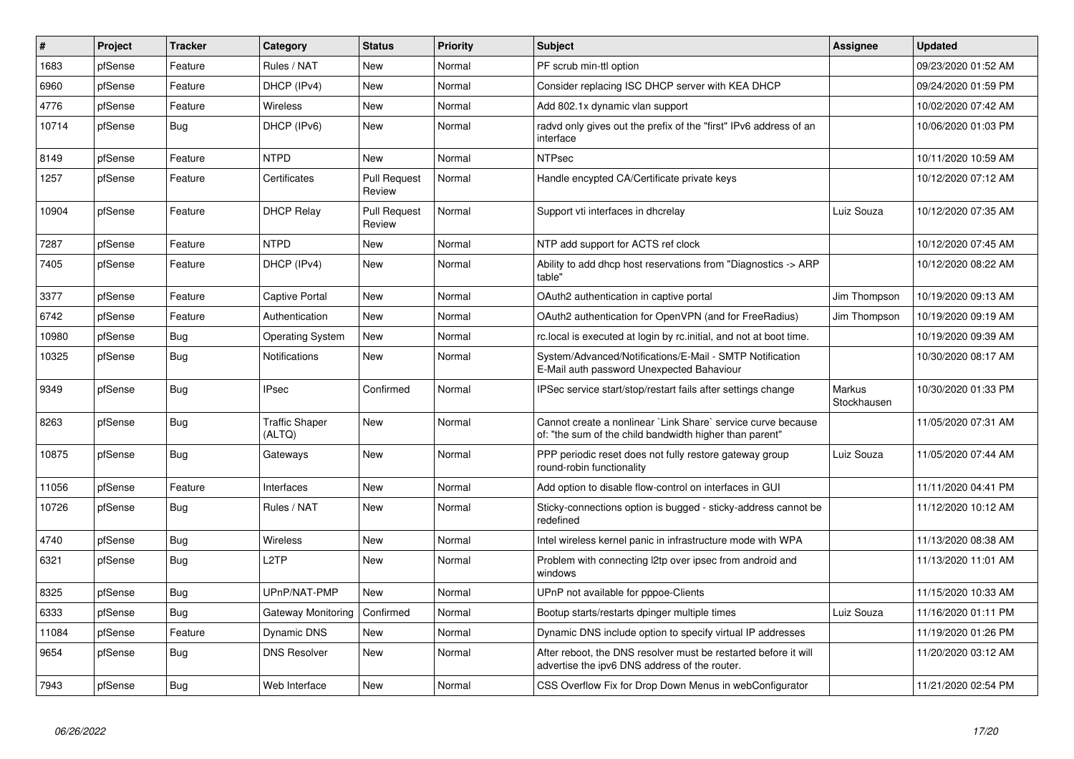| ∦     | Project | <b>Tracker</b> | Category                        | <b>Status</b>                 | <b>Priority</b> | <b>Subject</b>                                                                                                          | <b>Assignee</b>              | <b>Updated</b>      |
|-------|---------|----------------|---------------------------------|-------------------------------|-----------------|-------------------------------------------------------------------------------------------------------------------------|------------------------------|---------------------|
| 1683  | pfSense | Feature        | Rules / NAT                     | <b>New</b>                    | Normal          | PF scrub min-ttl option                                                                                                 |                              | 09/23/2020 01:52 AM |
| 6960  | pfSense | Feature        | DHCP (IPv4)                     | <b>New</b>                    | Normal          | Consider replacing ISC DHCP server with KEA DHCP                                                                        |                              | 09/24/2020 01:59 PM |
| 4776  | pfSense | Feature        | Wireless                        | <b>New</b>                    | Normal          | Add 802.1x dynamic vlan support                                                                                         |                              | 10/02/2020 07:42 AM |
| 10714 | pfSense | <b>Bug</b>     | DHCP (IPv6)                     | <b>New</b>                    | Normal          | radvd only gives out the prefix of the "first" IPv6 address of an<br>interface                                          |                              | 10/06/2020 01:03 PM |
| 8149  | pfSense | Feature        | <b>NTPD</b>                     | <b>New</b>                    | Normal          | <b>NTPsec</b>                                                                                                           |                              | 10/11/2020 10:59 AM |
| 1257  | pfSense | Feature        | Certificates                    | <b>Pull Request</b><br>Review | Normal          | Handle encypted CA/Certificate private keys                                                                             |                              | 10/12/2020 07:12 AM |
| 10904 | pfSense | Feature        | <b>DHCP Relay</b>               | <b>Pull Request</b><br>Review | Normal          | Support vti interfaces in dhcrelay                                                                                      | Luiz Souza                   | 10/12/2020 07:35 AM |
| 7287  | pfSense | Feature        | <b>NTPD</b>                     | <b>New</b>                    | Normal          | NTP add support for ACTS ref clock                                                                                      |                              | 10/12/2020 07:45 AM |
| 7405  | pfSense | Feature        | DHCP (IPv4)                     | <b>New</b>                    | Normal          | Ability to add dhcp host reservations from "Diagnostics -> ARP<br>table"                                                |                              | 10/12/2020 08:22 AM |
| 3377  | pfSense | Feature        | Captive Portal                  | <b>New</b>                    | Normal          | OAuth2 authentication in captive portal                                                                                 | Jim Thompson                 | 10/19/2020 09:13 AM |
| 6742  | pfSense | Feature        | Authentication                  | <b>New</b>                    | Normal          | OAuth2 authentication for OpenVPN (and for FreeRadius)                                                                  | Jim Thompson                 | 10/19/2020 09:19 AM |
| 10980 | pfSense | <b>Bug</b>     | <b>Operating System</b>         | <b>New</b>                    | Normal          | rc.local is executed at login by rc.initial, and not at boot time.                                                      |                              | 10/19/2020 09:39 AM |
| 10325 | pfSense | <b>Bug</b>     | Notifications                   | <b>New</b>                    | Normal          | System/Advanced/Notifications/E-Mail - SMTP Notification<br>E-Mail auth password Unexpected Bahaviour                   |                              | 10/30/2020 08:17 AM |
| 9349  | pfSense | <b>Bug</b>     | <b>IPsec</b>                    | Confirmed                     | Normal          | IPSec service start/stop/restart fails after settings change                                                            | <b>Markus</b><br>Stockhausen | 10/30/2020 01:33 PM |
| 8263  | pfSense | <b>Bug</b>     | <b>Traffic Shaper</b><br>(ALTQ) | <b>New</b>                    | Normal          | Cannot create a nonlinear `Link Share` service curve because<br>of: "the sum of the child bandwidth higher than parent" |                              | 11/05/2020 07:31 AM |
| 10875 | pfSense | <b>Bug</b>     | Gateways                        | <b>New</b>                    | Normal          | PPP periodic reset does not fully restore gateway group<br>round-robin functionality                                    | Luiz Souza                   | 11/05/2020 07:44 AM |
| 11056 | pfSense | Feature        | Interfaces                      | <b>New</b>                    | Normal          | Add option to disable flow-control on interfaces in GUI                                                                 |                              | 11/11/2020 04:41 PM |
| 10726 | pfSense | <b>Bug</b>     | Rules / NAT                     | <b>New</b>                    | Normal          | Sticky-connections option is bugged - sticky-address cannot be<br>redefined                                             |                              | 11/12/2020 10:12 AM |
| 4740  | pfSense | Bug            | <b>Wireless</b>                 | <b>New</b>                    | Normal          | Intel wireless kernel panic in infrastructure mode with WPA                                                             |                              | 11/13/2020 08:38 AM |
| 6321  | pfSense | <b>Bug</b>     | L2TP                            | <b>New</b>                    | Normal          | Problem with connecting I2tp over ipsec from android and<br>windows                                                     |                              | 11/13/2020 11:01 AM |
| 8325  | pfSense | <b>Bug</b>     | UPnP/NAT-PMP                    | <b>New</b>                    | Normal          | UPnP not available for pppoe-Clients                                                                                    |                              | 11/15/2020 10:33 AM |
| 6333  | pfSense | <b>Bug</b>     | Gateway Monitoring              | Confirmed                     | Normal          | Bootup starts/restarts dpinger multiple times                                                                           | Luiz Souza                   | 11/16/2020 01:11 PM |
| 11084 | pfSense | Feature        | Dynamic DNS                     | <b>New</b>                    | Normal          | Dynamic DNS include option to specify virtual IP addresses                                                              |                              | 11/19/2020 01:26 PM |
| 9654  | pfSense | <b>Bug</b>     | <b>DNS Resolver</b>             | New                           | Normal          | After reboot, the DNS resolver must be restarted before it will<br>advertise the ipv6 DNS address of the router.        |                              | 11/20/2020 03:12 AM |
| 7943  | pfSense | <b>Bug</b>     | Web Interface                   | <b>New</b>                    | Normal          | CSS Overflow Fix for Drop Down Menus in webConfigurator                                                                 |                              | 11/21/2020 02:54 PM |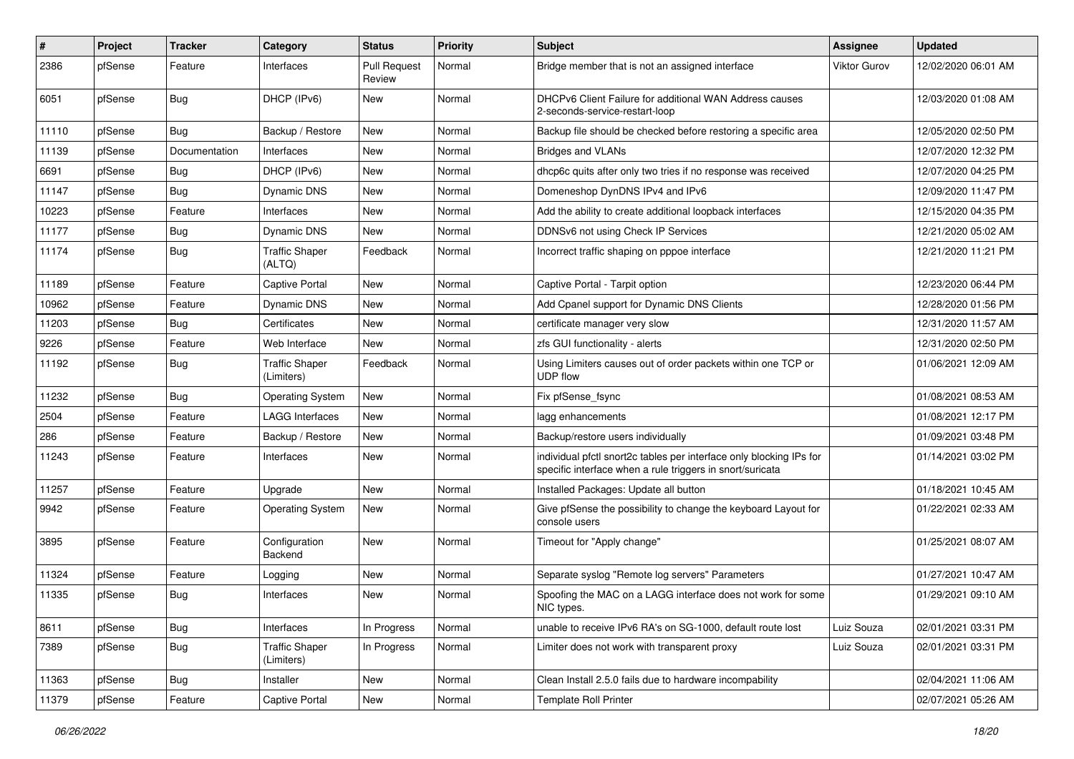| #     | Project | <b>Tracker</b> | Category                            | <b>Status</b>                 | <b>Priority</b> | <b>Subject</b>                                                                                                                   | Assignee            | <b>Updated</b>      |
|-------|---------|----------------|-------------------------------------|-------------------------------|-----------------|----------------------------------------------------------------------------------------------------------------------------------|---------------------|---------------------|
| 2386  | pfSense | Feature        | Interfaces                          | <b>Pull Request</b><br>Review | Normal          | Bridge member that is not an assigned interface                                                                                  | <b>Viktor Gurov</b> | 12/02/2020 06:01 AM |
| 6051  | pfSense | Bug            | DHCP (IPv6)                         | New                           | Normal          | DHCPv6 Client Failure for additional WAN Address causes<br>2-seconds-service-restart-loop                                        |                     | 12/03/2020 01:08 AM |
| 11110 | pfSense | Bug            | Backup / Restore                    | <b>New</b>                    | Normal          | Backup file should be checked before restoring a specific area                                                                   |                     | 12/05/2020 02:50 PM |
| 11139 | pfSense | Documentation  | Interfaces                          | <b>New</b>                    | Normal          | <b>Bridges and VLANs</b>                                                                                                         |                     | 12/07/2020 12:32 PM |
| 6691  | pfSense | <b>Bug</b>     | DHCP (IPv6)                         | <b>New</b>                    | Normal          | dhcp6c quits after only two tries if no response was received                                                                    |                     | 12/07/2020 04:25 PM |
| 11147 | pfSense | <b>Bug</b>     | Dynamic DNS                         | <b>New</b>                    | Normal          | Domeneshop DynDNS IPv4 and IPv6                                                                                                  |                     | 12/09/2020 11:47 PM |
| 10223 | pfSense | Feature        | Interfaces                          | <b>New</b>                    | Normal          | Add the ability to create additional loopback interfaces                                                                         |                     | 12/15/2020 04:35 PM |
| 11177 | pfSense | <b>Bug</b>     | Dynamic DNS                         | <b>New</b>                    | Normal          | DDNSv6 not using Check IP Services                                                                                               |                     | 12/21/2020 05:02 AM |
| 11174 | pfSense | Bug            | <b>Traffic Shaper</b><br>(ALTQ)     | Feedback                      | Normal          | Incorrect traffic shaping on pppoe interface                                                                                     |                     | 12/21/2020 11:21 PM |
| 11189 | pfSense | Feature        | Captive Portal                      | New                           | Normal          | Captive Portal - Tarpit option                                                                                                   |                     | 12/23/2020 06:44 PM |
| 10962 | pfSense | Feature        | Dynamic DNS                         | <b>New</b>                    | Normal          | Add Cpanel support for Dynamic DNS Clients                                                                                       |                     | 12/28/2020 01:56 PM |
| 11203 | pfSense | <b>Bug</b>     | Certificates                        | <b>New</b>                    | Normal          | certificate manager very slow                                                                                                    |                     | 12/31/2020 11:57 AM |
| 9226  | pfSense | Feature        | Web Interface                       | <b>New</b>                    | Normal          | zfs GUI functionality - alerts                                                                                                   |                     | 12/31/2020 02:50 PM |
| 11192 | pfSense | <b>Bug</b>     | <b>Traffic Shaper</b><br>(Limiters) | Feedback                      | Normal          | Using Limiters causes out of order packets within one TCP or<br><b>UDP flow</b>                                                  |                     | 01/06/2021 12:09 AM |
| 11232 | pfSense | Bug            | <b>Operating System</b>             | New                           | Normal          | Fix pfSense fsync                                                                                                                |                     | 01/08/2021 08:53 AM |
| 2504  | pfSense | Feature        | <b>LAGG Interfaces</b>              | <b>New</b>                    | Normal          | lagg enhancements                                                                                                                |                     | 01/08/2021 12:17 PM |
| 286   | pfSense | Feature        | Backup / Restore                    | <b>New</b>                    | Normal          | Backup/restore users individually                                                                                                |                     | 01/09/2021 03:48 PM |
| 11243 | pfSense | Feature        | Interfaces                          | <b>New</b>                    | Normal          | individual pfctl snort2c tables per interface only blocking IPs for<br>specific interface when a rule triggers in snort/suricata |                     | 01/14/2021 03:02 PM |
| 11257 | pfSense | Feature        | Upgrade                             | <b>New</b>                    | Normal          | Installed Packages: Update all button                                                                                            |                     | 01/18/2021 10:45 AM |
| 9942  | pfSense | Feature        | <b>Operating System</b>             | New                           | Normal          | Give pfSense the possibility to change the keyboard Layout for<br>console users                                                  |                     | 01/22/2021 02:33 AM |
| 3895  | pfSense | Feature        | Configuration<br>Backend            | <b>New</b>                    | Normal          | Timeout for "Apply change"                                                                                                       |                     | 01/25/2021 08:07 AM |
| 11324 | pfSense | Feature        | Logging                             | New                           | Normal          | Separate syslog "Remote log servers" Parameters                                                                                  |                     | 01/27/2021 10:47 AM |
| 11335 | pfSense | <b>Bug</b>     | Interfaces                          | New                           | Normal          | Spoofing the MAC on a LAGG interface does not work for some<br>NIC types.                                                        |                     | 01/29/2021 09:10 AM |
| 8611  | pfSense | <b>Bug</b>     | Interfaces                          | In Progress                   | Normal          | unable to receive IPv6 RA's on SG-1000, default route lost                                                                       | Luiz Souza          | 02/01/2021 03:31 PM |
| 7389  | pfSense | <b>Bug</b>     | <b>Traffic Shaper</b><br>(Limiters) | In Progress                   | Normal          | Limiter does not work with transparent proxy                                                                                     | Luiz Souza          | 02/01/2021 03:31 PM |
| 11363 | pfSense | <b>Bug</b>     | Installer                           | New                           | Normal          | Clean Install 2.5.0 fails due to hardware incompability                                                                          |                     | 02/04/2021 11:06 AM |
| 11379 | pfSense | Feature        | Captive Portal                      | New                           | Normal          | Template Roll Printer                                                                                                            |                     | 02/07/2021 05:26 AM |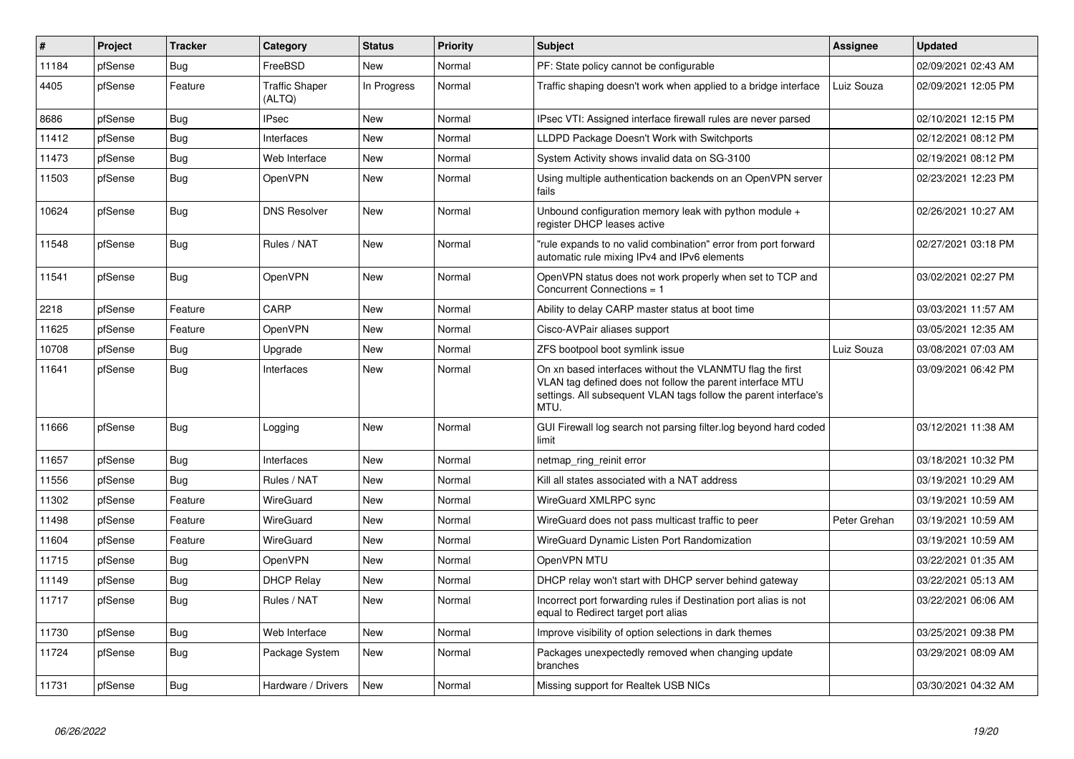| ∦     | Project | <b>Tracker</b> | Category                        | <b>Status</b> | <b>Priority</b> | <b>Subject</b>                                                                                                                                                                                     | <b>Assignee</b> | <b>Updated</b>      |
|-------|---------|----------------|---------------------------------|---------------|-----------------|----------------------------------------------------------------------------------------------------------------------------------------------------------------------------------------------------|-----------------|---------------------|
| 11184 | pfSense | Bug            | FreeBSD                         | <b>New</b>    | Normal          | PF: State policy cannot be configurable                                                                                                                                                            |                 | 02/09/2021 02:43 AM |
| 4405  | pfSense | Feature        | <b>Traffic Shaper</b><br>(ALTQ) | In Progress   | Normal          | Traffic shaping doesn't work when applied to a bridge interface                                                                                                                                    | Luiz Souza      | 02/09/2021 12:05 PM |
| 8686  | pfSense | <b>Bug</b>     | <b>IPsec</b>                    | <b>New</b>    | Normal          | IPsec VTI: Assigned interface firewall rules are never parsed                                                                                                                                      |                 | 02/10/2021 12:15 PM |
| 11412 | pfSense | Bug            | Interfaces                      | <b>New</b>    | Normal          | LLDPD Package Doesn't Work with Switchports                                                                                                                                                        |                 | 02/12/2021 08:12 PM |
| 11473 | pfSense | <b>Bug</b>     | Web Interface                   | <b>New</b>    | Normal          | System Activity shows invalid data on SG-3100                                                                                                                                                      |                 | 02/19/2021 08:12 PM |
| 11503 | pfSense | <b>Bug</b>     | OpenVPN                         | <b>New</b>    | Normal          | Using multiple authentication backends on an OpenVPN server<br>fails                                                                                                                               |                 | 02/23/2021 12:23 PM |
| 10624 | pfSense | <b>Bug</b>     | <b>DNS Resolver</b>             | <b>New</b>    | Normal          | Unbound configuration memory leak with python module +<br>register DHCP leases active                                                                                                              |                 | 02/26/2021 10:27 AM |
| 11548 | pfSense | <b>Bug</b>     | Rules / NAT                     | <b>New</b>    | Normal          | "rule expands to no valid combination" error from port forward<br>automatic rule mixing IPv4 and IPv6 elements                                                                                     |                 | 02/27/2021 03:18 PM |
| 11541 | pfSense | Bug            | OpenVPN                         | <b>New</b>    | Normal          | OpenVPN status does not work properly when set to TCP and<br>Concurrent Connections = 1                                                                                                            |                 | 03/02/2021 02:27 PM |
| 2218  | pfSense | Feature        | CARP                            | <b>New</b>    | Normal          | Ability to delay CARP master status at boot time                                                                                                                                                   |                 | 03/03/2021 11:57 AM |
| 11625 | pfSense | Feature        | OpenVPN                         | New           | Normal          | Cisco-AVPair aliases support                                                                                                                                                                       |                 | 03/05/2021 12:35 AM |
| 10708 | pfSense | <b>Bug</b>     | Upgrade                         | <b>New</b>    | Normal          | ZFS bootpool boot symlink issue                                                                                                                                                                    | Luiz Souza      | 03/08/2021 07:03 AM |
| 11641 | pfSense | <b>Bug</b>     | Interfaces                      | <b>New</b>    | Normal          | On xn based interfaces without the VLANMTU flag the first<br>VLAN tag defined does not follow the parent interface MTU<br>settings. All subsequent VLAN tags follow the parent interface's<br>MTU. |                 | 03/09/2021 06:42 PM |
| 11666 | pfSense | Bug            | Logging                         | <b>New</b>    | Normal          | GUI Firewall log search not parsing filter.log beyond hard coded<br>limit                                                                                                                          |                 | 03/12/2021 11:38 AM |
| 11657 | pfSense | <b>Bug</b>     | Interfaces                      | <b>New</b>    | Normal          | netmap_ring_reinit error                                                                                                                                                                           |                 | 03/18/2021 10:32 PM |
| 11556 | pfSense | Bug            | Rules / NAT                     | <b>New</b>    | Normal          | Kill all states associated with a NAT address                                                                                                                                                      |                 | 03/19/2021 10:29 AM |
| 11302 | pfSense | Feature        | WireGuard                       | <b>New</b>    | Normal          | WireGuard XMLRPC sync                                                                                                                                                                              |                 | 03/19/2021 10:59 AM |
| 11498 | pfSense | Feature        | WireGuard                       | <b>New</b>    | Normal          | WireGuard does not pass multicast traffic to peer                                                                                                                                                  | Peter Grehan    | 03/19/2021 10:59 AM |
| 11604 | pfSense | Feature        | WireGuard                       | <b>New</b>    | Normal          | WireGuard Dynamic Listen Port Randomization                                                                                                                                                        |                 | 03/19/2021 10:59 AM |
| 11715 | pfSense | Bug            | OpenVPN                         | <b>New</b>    | Normal          | OpenVPN MTU                                                                                                                                                                                        |                 | 03/22/2021 01:35 AM |
| 11149 | pfSense | Bug            | <b>DHCP Relay</b>               | New           | Normal          | DHCP relay won't start with DHCP server behind gateway                                                                                                                                             |                 | 03/22/2021 05:13 AM |
| 11717 | pfSense | <b>Bug</b>     | Rules / NAT                     | <b>New</b>    | Normal          | Incorrect port forwarding rules if Destination port alias is not<br>equal to Redirect target port alias                                                                                            |                 | 03/22/2021 06:06 AM |
| 11730 | pfSense | <b>Bug</b>     | Web Interface                   | <b>New</b>    | Normal          | Improve visibility of option selections in dark themes                                                                                                                                             |                 | 03/25/2021 09:38 PM |
| 11724 | pfSense | Bug            | Package System                  | <b>New</b>    | Normal          | Packages unexpectedly removed when changing update<br>branches                                                                                                                                     |                 | 03/29/2021 08:09 AM |
| 11731 | pfSense | Bug            | Hardware / Drivers              | <b>New</b>    | Normal          | Missing support for Realtek USB NICs                                                                                                                                                               |                 | 03/30/2021 04:32 AM |